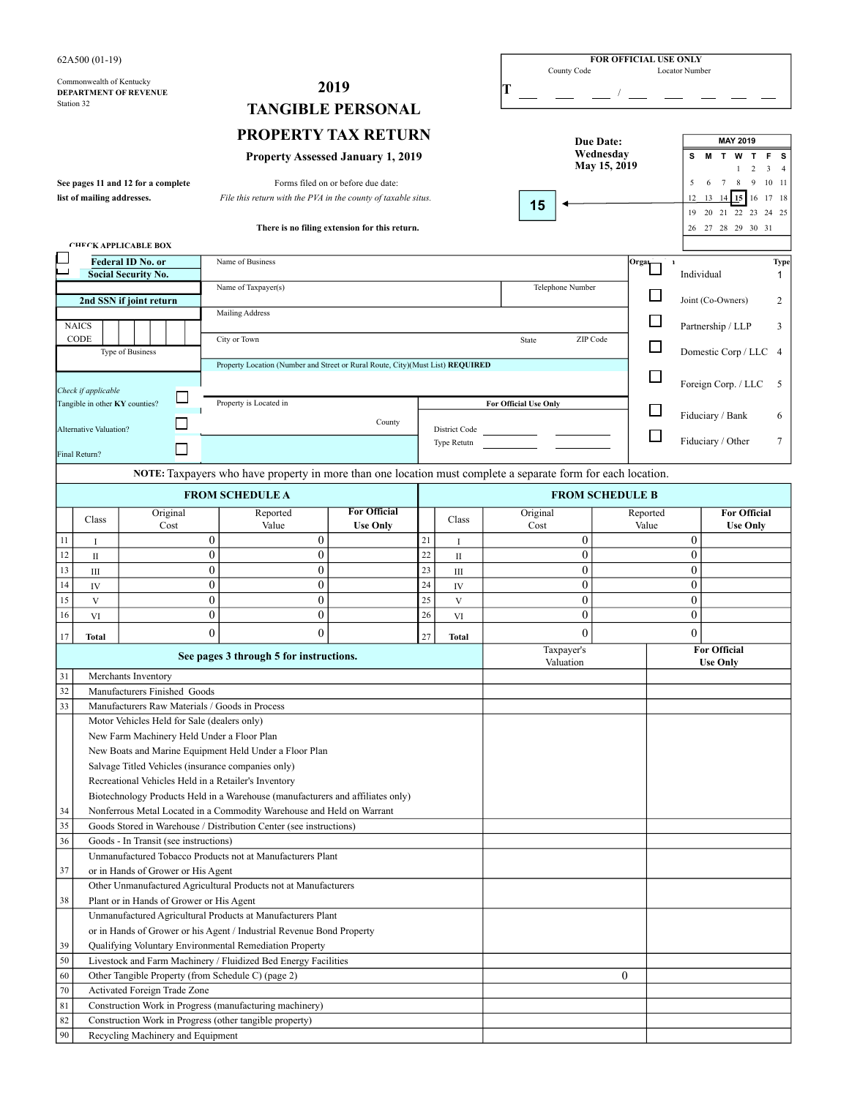|                                                  | 62A500 (01-19)                                                                                                           |                                                 |                                |                                                                                |                                               |          |                              |   |                              | County Code                    |                  | FOR OFFICIAL USE ONLY    | Locator Number                   |                                                                     |                                 |
|--------------------------------------------------|--------------------------------------------------------------------------------------------------------------------------|-------------------------------------------------|--------------------------------|--------------------------------------------------------------------------------|-----------------------------------------------|----------|------------------------------|---|------------------------------|--------------------------------|------------------|--------------------------|----------------------------------|---------------------------------------------------------------------|---------------------------------|
|                                                  | Commonwealth of Kentucky                                                                                                 |                                                 |                                |                                                                                | 2019                                          |          |                              | Т |                              |                                |                  |                          |                                  |                                                                     |                                 |
|                                                  | Station 32                                                                                                               | DEPARTMENT OF REVENUE                           |                                |                                                                                |                                               |          |                              |   |                              |                                |                  |                          |                                  |                                                                     |                                 |
|                                                  |                                                                                                                          |                                                 |                                |                                                                                | <b>TANGIBLE PERSONAL</b>                      |          |                              |   |                              |                                |                  |                          |                                  |                                                                     |                                 |
|                                                  |                                                                                                                          |                                                 |                                | <b>PROPERTY TAX RETURN</b>                                                     |                                               |          |                              |   |                              |                                | Due Date:        |                          |                                  | <b>MAY 2019</b>                                                     |                                 |
|                                                  |                                                                                                                          |                                                 |                                | <b>Property Assessed January 1, 2019</b>                                       |                                               |          |                              |   |                              |                                | Wednesdav        |                          | s                                | <b>MTWTFS</b>                                                       |                                 |
|                                                  |                                                                                                                          | See pages 11 and 12 for a complete              |                                |                                                                                | Forms filed on or before due date:            |          |                              |   |                              |                                | May 15, 2019     |                          | 5                                | $\overline{2}$<br>-1<br>$\overline{9}$<br>$7\phantom{.0}$<br>8<br>6 | 3 <sub>1</sub><br>$10 \quad 11$ |
|                                                  | list of mailing addresses.                                                                                               |                                                 |                                | File this return with the PVA in the county of taxable situs.                  |                                               |          |                              |   |                              |                                |                  |                          | 12                               | $14 \mid 15$<br>13<br>16                                            | 17 18                           |
|                                                  |                                                                                                                          |                                                 |                                |                                                                                |                                               |          |                              |   | 15                           |                                |                  |                          |                                  | 19 20 21 22 23                                                      | 24 25                           |
|                                                  |                                                                                                                          |                                                 |                                |                                                                                | There is no filing extension for this return. |          |                              |   |                              |                                |                  |                          |                                  | 26 27 28 29 30 31                                                   |                                 |
|                                                  |                                                                                                                          | <b>CHECK APPLICABLE BOX</b>                     |                                |                                                                                |                                               |          |                              |   |                              |                                |                  |                          |                                  |                                                                     |                                 |
|                                                  |                                                                                                                          | Federal ID No. or<br><b>Social Security No.</b> |                                | Name of Business                                                               |                                               |          |                              |   |                              |                                |                  | Orga <sub>l</sub>        | $\mathbf{1}$<br>Individual       |                                                                     | Type<br>1                       |
|                                                  |                                                                                                                          |                                                 |                                | Name of Taxpayer(s)                                                            |                                               |          |                              |   |                              | Telephone Number               |                  |                          |                                  |                                                                     |                                 |
|                                                  |                                                                                                                          | 2nd SSN if joint return                         |                                | Mailing Address                                                                |                                               |          |                              |   |                              |                                |                  |                          |                                  | Joint (Co-Owners)                                                   | 2                               |
|                                                  | <b>NAICS</b>                                                                                                             |                                                 |                                |                                                                                |                                               |          |                              |   |                              |                                |                  | $\overline{\phantom{a}}$ |                                  | Partnership / LLP                                                   | 3                               |
|                                                  | CODE                                                                                                                     |                                                 |                                | City or Town                                                                   |                                               |          |                              |   | State                        | ZIP Code                       |                  | $\overline{\phantom{a}}$ |                                  |                                                                     |                                 |
|                                                  |                                                                                                                          | Type of Business                                |                                | Property Location (Number and Street or Rural Route, City)(Must List) REQUIRED |                                               |          |                              |   |                              |                                |                  |                          |                                  | Domestic Corp / LLC 4                                               |                                 |
|                                                  |                                                                                                                          |                                                 |                                |                                                                                |                                               |          |                              |   |                              |                                |                  |                          |                                  | Foreign Corp. / LLC                                                 | - 5                             |
|                                                  | Check if applicable<br>Tangible in other KY counties?                                                                    |                                                 |                                | Property is Located in                                                         |                                               |          |                              |   | <b>For Official Use Only</b> |                                |                  |                          |                                  |                                                                     |                                 |
|                                                  |                                                                                                                          |                                                 |                                |                                                                                | County                                        |          |                              |   |                              |                                |                  |                          |                                  | Fiduciary / Bank                                                    |                                 |
|                                                  | <b>Alternative Valuation?</b>                                                                                            |                                                 |                                |                                                                                |                                               |          | District Code<br>Type Retutn |   |                              |                                |                  |                          |                                  | Fiduciary / Other                                                   | 7                               |
|                                                  | Final Return?                                                                                                            |                                                 |                                |                                                                                |                                               |          |                              |   |                              |                                |                  |                          |                                  |                                                                     |                                 |
|                                                  | NOTE: Taxpayers who have property in more than one location must complete a separate form for each location.             |                                                 |                                |                                                                                |                                               |          |                              |   |                              |                                |                  |                          |                                  |                                                                     |                                 |
| <b>FROM SCHEDULE A</b><br><b>FROM SCHEDULE B</b> |                                                                                                                          |                                                 |                                |                                                                                |                                               |          |                              |   |                              |                                |                  |                          |                                  |                                                                     |                                 |
|                                                  |                                                                                                                          | Original                                        |                                | Reported                                                                       | <b>For Official</b>                           |          |                              |   | Original                     |                                |                  | Reported                 |                                  | <b>For Official</b>                                                 |                                 |
|                                                  | Class                                                                                                                    | Cost                                            |                                | Value                                                                          | <b>Use Only</b>                               |          | Class                        |   | Cost                         |                                |                  | Value                    |                                  | <b>Use Only</b>                                                     |                                 |
| 11                                               | $\bf{I}$                                                                                                                 |                                                 | $\boldsymbol{0}$               | $\boldsymbol{0}$                                                               |                                               | 21       | $\bf{I}$                     |   |                              | $\boldsymbol{0}$               |                  |                          | $\boldsymbol{0}$                 |                                                                     |                                 |
| 12<br>13                                         | $\rm II$<br>Ш                                                                                                            |                                                 | $\mathbf{0}$<br>$\overline{0}$ | $\theta$<br>$\mathbf{0}$                                                       |                                               | 22<br>23 | $_{\rm II}$                  |   |                              | $\mathbf{0}$<br>$\overline{0}$ |                  |                          | $\overline{0}$<br>$\overline{0}$ |                                                                     |                                 |
| 14                                               | IV                                                                                                                       |                                                 | $\mathbf{0}$                   | $\boldsymbol{0}$                                                               |                                               | 24       | Ш<br>IV                      |   |                              | $\boldsymbol{0}$               |                  |                          | $\overline{0}$                   |                                                                     |                                 |
| 15                                               | $\overline{V}$                                                                                                           |                                                 | $\mathbf{0}$                   | $\mathbf{0}$                                                                   |                                               | 25       | $\mathbf{V}$                 |   |                              | $\mathbf{0}$                   |                  |                          | $\overline{0}$                   |                                                                     |                                 |
| 16                                               | VI                                                                                                                       |                                                 | $\boldsymbol{0}$               | $\theta$                                                                       |                                               | 26       | VI                           |   |                              | $\boldsymbol{0}$               |                  |                          | $\overline{0}$                   |                                                                     |                                 |
| 17                                               | Total                                                                                                                    |                                                 | $\theta$                       | $\theta$                                                                       |                                               | 27       | <b>Total</b>                 |   |                              | $\Omega$                       |                  |                          | $\theta$                         |                                                                     |                                 |
|                                                  |                                                                                                                          |                                                 |                                | See pages 3 through 5 for instructions.                                        |                                               |          |                              |   |                              | Taxpayer's<br>Valuation        |                  |                          |                                  | <b>For Official</b><br><b>Use Only</b>                              |                                 |
| 31                                               |                                                                                                                          | Merchants Inventory                             |                                |                                                                                |                                               |          |                              |   |                              |                                |                  |                          |                                  |                                                                     |                                 |
| 32                                               |                                                                                                                          | Manufacturers Finished Goods                    |                                |                                                                                |                                               |          |                              |   |                              |                                |                  |                          |                                  |                                                                     |                                 |
| 33                                               |                                                                                                                          | Manufacturers Raw Materials / Goods in Process  |                                |                                                                                |                                               |          |                              |   |                              |                                |                  |                          |                                  |                                                                     |                                 |
|                                                  |                                                                                                                          | Motor Vehicles Held for Sale (dealers only)     |                                |                                                                                |                                               |          |                              |   |                              |                                |                  |                          |                                  |                                                                     |                                 |
|                                                  |                                                                                                                          | New Farm Machinery Held Under a Floor Plan      |                                | New Boats and Marine Equipment Held Under a Floor Plan                         |                                               |          |                              |   |                              |                                |                  |                          |                                  |                                                                     |                                 |
|                                                  |                                                                                                                          |                                                 |                                | Salvage Titled Vehicles (insurance companies only)                             |                                               |          |                              |   |                              |                                |                  |                          |                                  |                                                                     |                                 |
|                                                  |                                                                                                                          |                                                 |                                | Recreational Vehicles Held in a Retailer's Inventory                           |                                               |          |                              |   |                              |                                |                  |                          |                                  |                                                                     |                                 |
|                                                  |                                                                                                                          |                                                 |                                | Biotechnology Products Held in a Warehouse (manufacturers and affiliates only) |                                               |          |                              |   |                              |                                |                  |                          |                                  |                                                                     |                                 |
| 34                                               |                                                                                                                          |                                                 |                                | Nonferrous Metal Located in a Commodity Warehouse and Held on Warrant          |                                               |          |                              |   |                              |                                |                  |                          |                                  |                                                                     |                                 |
| 35<br>36                                         |                                                                                                                          | Goods - In Transit (see instructions)           |                                | Goods Stored in Warehouse / Distribution Center (see instructions)             |                                               |          |                              |   |                              |                                |                  |                          |                                  |                                                                     |                                 |
|                                                  |                                                                                                                          |                                                 |                                | Unmanufactured Tobacco Products not at Manufacturers Plant                     |                                               |          |                              |   |                              |                                |                  |                          |                                  |                                                                     |                                 |
| 37                                               |                                                                                                                          | or in Hands of Grower or His Agent              |                                |                                                                                |                                               |          |                              |   |                              |                                |                  |                          |                                  |                                                                     |                                 |
|                                                  |                                                                                                                          |                                                 |                                | Other Unmanufactured Agricultural Products not at Manufacturers                |                                               |          |                              |   |                              |                                |                  |                          |                                  |                                                                     |                                 |
| 38                                               |                                                                                                                          | Plant or in Hands of Grower or His Agent        |                                | Unmanufactured Agricultural Products at Manufacturers Plant                    |                                               |          |                              |   |                              |                                |                  |                          |                                  |                                                                     |                                 |
|                                                  |                                                                                                                          |                                                 |                                | or in Hands of Grower or his Agent / Industrial Revenue Bond Property          |                                               |          |                              |   |                              |                                |                  |                          |                                  |                                                                     |                                 |
| 39                                               |                                                                                                                          |                                                 |                                | Qualifying Voluntary Environmental Remediation Property                        |                                               |          |                              |   |                              |                                |                  |                          |                                  |                                                                     |                                 |
| 50                                               |                                                                                                                          |                                                 |                                | Livestock and Farm Machinery / Fluidized Bed Energy Facilities                 |                                               |          |                              |   |                              |                                |                  |                          |                                  |                                                                     |                                 |
| 60                                               |                                                                                                                          |                                                 |                                | Other Tangible Property (from Schedule C) (page 2)                             |                                               |          |                              |   |                              |                                | $\boldsymbol{0}$ |                          |                                  |                                                                     |                                 |
| 70                                               |                                                                                                                          | Activated Foreign Trade Zone                    |                                |                                                                                |                                               |          |                              |   |                              |                                |                  |                          |                                  |                                                                     |                                 |
| 82                                               | 81<br>Construction Work in Progress (manufacturing machinery)<br>Construction Work in Progress (other tangible property) |                                                 |                                |                                                                                |                                               |          |                              |   |                              |                                |                  |                          |                                  |                                                                     |                                 |
| 90                                               |                                                                                                                          | Recycling Machinery and Equipment               |                                |                                                                                |                                               |          |                              |   |                              |                                |                  |                          |                                  |                                                                     |                                 |
|                                                  |                                                                                                                          |                                                 |                                |                                                                                |                                               |          |                              |   |                              |                                |                  |                          |                                  |                                                                     |                                 |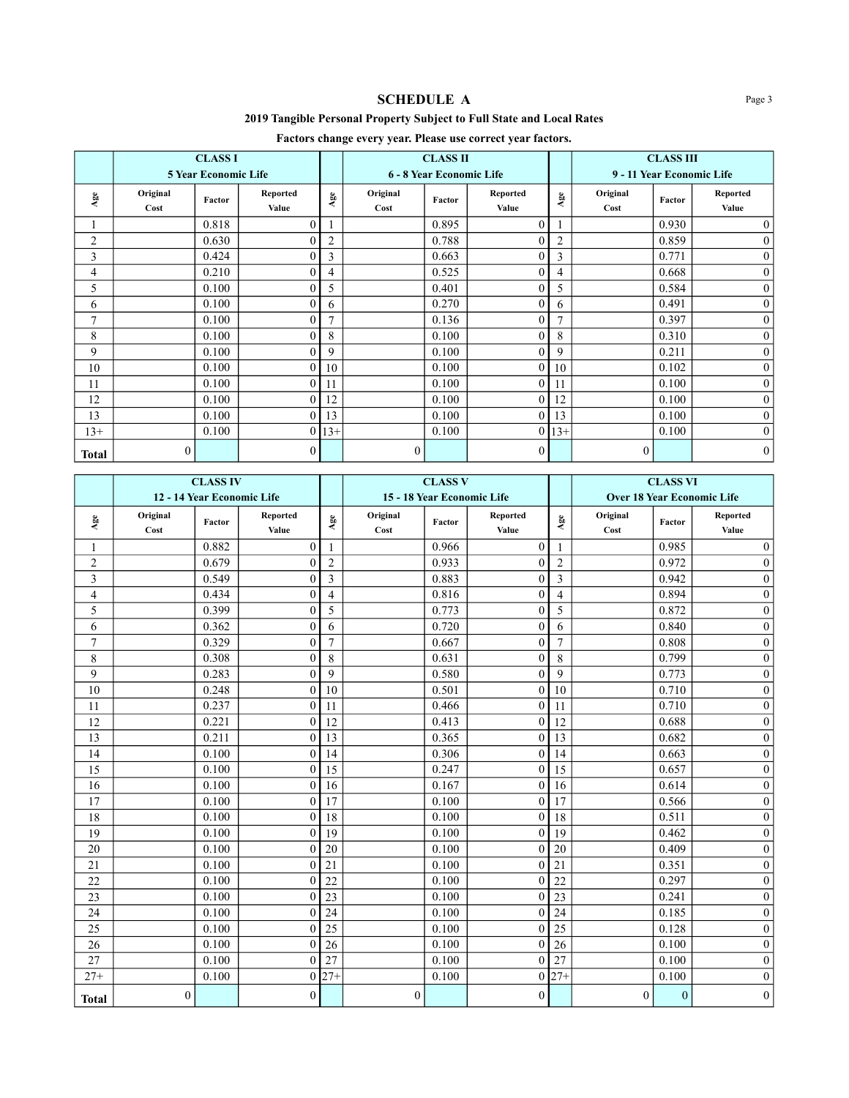# **SCHEDULE A** Page 3

## **2019 Tangible Personal Property Subject to Full State and Local Rates**

# **Factors change every year. Please use correct year factors.**

|                |                  | <b>CLASS I</b>              |                   |                | <b>CLASS II</b>          |        |                   |              | <b>CLASS III</b>          |        |                   |
|----------------|------------------|-----------------------------|-------------------|----------------|--------------------------|--------|-------------------|--------------|---------------------------|--------|-------------------|
|                |                  | <b>5 Year Economic Life</b> |                   |                | 6 - 8 Year Economic Life |        |                   |              | 9 - 11 Year Economic Life |        |                   |
| $_{\rm Age}$   | Original<br>Cost | Factor                      | Reported<br>Value | $_{\rm Age}$   | Original<br>Cost         | Factor | Reported<br>Value | $_{\rm Age}$ | Original<br>Cost          | Factor | Reported<br>Value |
|                |                  | 0.818                       | $\theta$          |                |                          | 0.895  | $\theta$          |              |                           | 0.930  | $\overline{0}$    |
| 2              |                  | 0.630                       | 0                 | $\overline{2}$ |                          | 0.788  |                   | 2            |                           | 0.859  | $\mathbf{0}$      |
| 3              |                  | 0.424                       | 0                 | 3              |                          | 0.663  | 0                 | 3            |                           | 0.771  | $\mathbf{0}$      |
| 4              |                  | 0.210                       |                   | 4              |                          | 0.525  |                   | 4            |                           | 0.668  | $\overline{0}$    |
| 5              |                  | 0.100                       |                   | 5              |                          | 0.401  |                   | 5            |                           | 0.584  | $\boldsymbol{0}$  |
| 6              |                  | 0.100                       | 0                 | 6              |                          | 0.270  |                   | 6            |                           | 0.491  | $\overline{0}$    |
| $\overline{7}$ |                  | 0.100                       | 0                 | $\mathbf{r}$   |                          | 0.136  |                   | 7            |                           | 0.397  | $\overline{0}$    |
| 8              |                  | 0.100                       | $\theta$          | 8              |                          | 0.100  | 0                 | 8            |                           | 0.310  | $\overline{0}$    |
| 9              |                  | 0.100                       | $\theta$          | 9              |                          | 0.100  |                   | 9            |                           | 0.211  | $\boldsymbol{0}$  |
| 10             |                  | 0.100                       | $\theta$          | 10             |                          | 0.100  |                   | 10           |                           | 0.102  | $\mathbf{0}$      |
| 11             |                  | 0.100                       | 0                 | 11             |                          | 0.100  | 0                 | 11           |                           | 0.100  | $\mathbf{0}$      |
| 12             |                  | 0.100                       | $\theta$          | 12             |                          | 0.100  | 0                 | 12           |                           | 0.100  | $\mathbf{0}$      |
| 13             |                  | 0.100                       | $\theta$          | 13             |                          | 0.100  | $\boldsymbol{0}$  | 13           |                           | 0.100  | $\mathbf{0}$      |
| $13+$          |                  | 0.100                       | $\theta$          | $13+$          |                          | 0.100  | $\overline{0}$    | $13+$        |                           | 0.100  | $\mathbf{0}$      |
| <b>Total</b>   | $\overline{0}$   |                             | $\theta$          |                | $\theta$                 |        | $\theta$          |              | $\theta$                  |        | $\overline{0}$    |

|                         | <b>CLASS IV</b>            |        |                   |                | <b>CLASS V</b>   |        |                            |                | <b>CLASS VI</b>  |              |                                   |
|-------------------------|----------------------------|--------|-------------------|----------------|------------------|--------|----------------------------|----------------|------------------|--------------|-----------------------------------|
|                         | 12 - 14 Year Economic Life |        |                   |                |                  |        | 15 - 18 Year Economic Life |                |                  |              | <b>Over 18 Year Economic Life</b> |
| $_{\rm Age}$            | Original<br>Cost           | Factor | Reported<br>Value | ${\bf Age}$    | Original<br>Cost | Factor | Reported<br>Value          | $_{\rm Age}$   | Original<br>Cost | Factor       | Reported<br>Value                 |
| 1                       |                            | 0.882  | $\theta$          | -1             |                  | 0.966  | $\mathbf{0}$               |                |                  | 0.985        | $\boldsymbol{0}$                  |
| $\overline{2}$          |                            | 0.679  | $\theta$          | $\overline{2}$ |                  | 0.933  | $\theta$                   | $\overline{2}$ |                  | 0.972        | $\overline{0}$                    |
| 3                       |                            | 0.549  | $\theta$          | 3              |                  | 0.883  | 0                          | 3              |                  | 0.942        | $\boldsymbol{0}$                  |
| $\overline{\mathbf{4}}$ |                            | 0.434  | $\theta$          | $\overline{4}$ |                  | 0.816  | $\theta$                   | $\overline{4}$ |                  | 0.894        | $\overline{0}$                    |
| 5                       |                            | 0.399  | $\theta$          | 5              |                  | 0.773  | $\theta$                   | 5              |                  | 0.872        | $\boldsymbol{0}$                  |
| 6                       |                            | 0.362  | $\theta$          | 6              |                  | 0.720  | $\theta$                   | 6              |                  | 0.840        | $\overline{0}$                    |
| 7                       |                            | 0.329  | $\theta$          | $\overline{7}$ |                  | 0.667  | 0                          | $\overline{7}$ |                  | 0.808        | $\boldsymbol{0}$                  |
| 8                       |                            | 0.308  | $\theta$          | 8              |                  | 0.631  | 0                          | 8              |                  | 0.799        | $\overline{0}$                    |
| 9                       |                            | 0.283  | $\theta$          | 9              |                  | 0.580  | 0                          | 9              |                  | 0.773        | $\boldsymbol{0}$                  |
| 10                      |                            | 0.248  | $\mathbf{0}$      | 10             |                  | 0.501  | $\mathbf{0}$               | 10             |                  | 0.710        | $\boldsymbol{0}$                  |
| 11                      |                            | 0.237  | $\theta$          | 11             |                  | 0.466  | $\theta$                   | 11             |                  | 0.710        | $\overline{0}$                    |
| 12                      |                            | 0.221  | $\mathbf{0}$      | 12             |                  | 0.413  | $\boldsymbol{0}$           | 12             |                  | 0.688        | $\overline{0}$                    |
| 13                      |                            | 0.211  | $\theta$          | 13             |                  | 0.365  | $\theta$                   | 13             |                  | 0.682        | $\mathbf{0}$                      |
| 14                      |                            | 0.100  | $\theta$          | 14             |                  | 0.306  | $\theta$                   | 14             |                  | 0.663        | $\overline{0}$                    |
| 15                      |                            | 0.100  | $\mathbf{0}$      | 15             |                  | 0.247  | $\mathbf{0}$               | 15             |                  | 0.657        | $\overline{0}$                    |
| 16                      |                            | 0.100  | $\mathbf{0}$      | 16             |                  | 0.167  | $\boldsymbol{0}$           | 16             |                  | 0.614        | $\overline{0}$                    |
| 17                      |                            | 0.100  | $\mathbf{0}$      | 17             |                  | 0.100  | $\mathbf{0}$               | 17             |                  | 0.566        | $\boldsymbol{0}$                  |
| 18                      |                            | 0.100  | $\mathbf{0}$      | 18             |                  | 0.100  | $\mathbf{0}$               | 18             |                  | 0.511        | $\boldsymbol{0}$                  |
| 19                      |                            | 0.100  | $\theta$          | 19             |                  | 0.100  | $\theta$                   | 19             |                  | 0.462        | $\boldsymbol{0}$                  |
| 20                      |                            | 0.100  | $\mathbf{0}$      | 20             |                  | 0.100  | 0                          | 20             |                  | 0.409        | $\overline{0}$                    |
| 21                      |                            | 0.100  | $\theta$          | 21             |                  | 0.100  | $\theta$                   | 21             |                  | 0.351        | $\mathbf{0}$                      |
| 22                      |                            | 0.100  | $\theta$          | 22             |                  | 0.100  | $\theta$                   | 22             |                  | 0.297        | $\boldsymbol{0}$                  |
| 23                      |                            | 0.100  | $\theta$          | 23             |                  | 0.100  | $\theta$                   | 23             |                  | 0.241        | $\boldsymbol{0}$                  |
| 24                      |                            | 0.100  | $\theta$          | 24             |                  | 0.100  | 0                          | 24             |                  | 0.185        | $\boldsymbol{0}$                  |
| 25                      |                            | 0.100  | $\mathbf{0}$      | 25             |                  | 0.100  | $\mathbf{0}$               | 25             |                  | 0.128        | $\boldsymbol{0}$                  |
| 26                      |                            | 0.100  | $\theta$          | 26             |                  | 0.100  | 0                          | 26             |                  | 0.100        | $\boldsymbol{0}$                  |
| 27                      |                            | 0.100  | $\mathbf{0}$      | 27             |                  | 0.100  | $\theta$                   | 27             |                  | 0.100        | $\boldsymbol{0}$                  |
| $27+$                   |                            | 0.100  | $\mathbf{0}$      | $27 +$         |                  | 0.100  | $\theta$                   | $27 +$         |                  | 0.100        | $\boldsymbol{0}$                  |
| <b>Total</b>            | $\boldsymbol{0}$           |        | $\mathbf{0}$      |                | $\boldsymbol{0}$ |        | $\boldsymbol{0}$           |                | $\boldsymbol{0}$ | $\mathbf{0}$ | $\boldsymbol{0}$                  |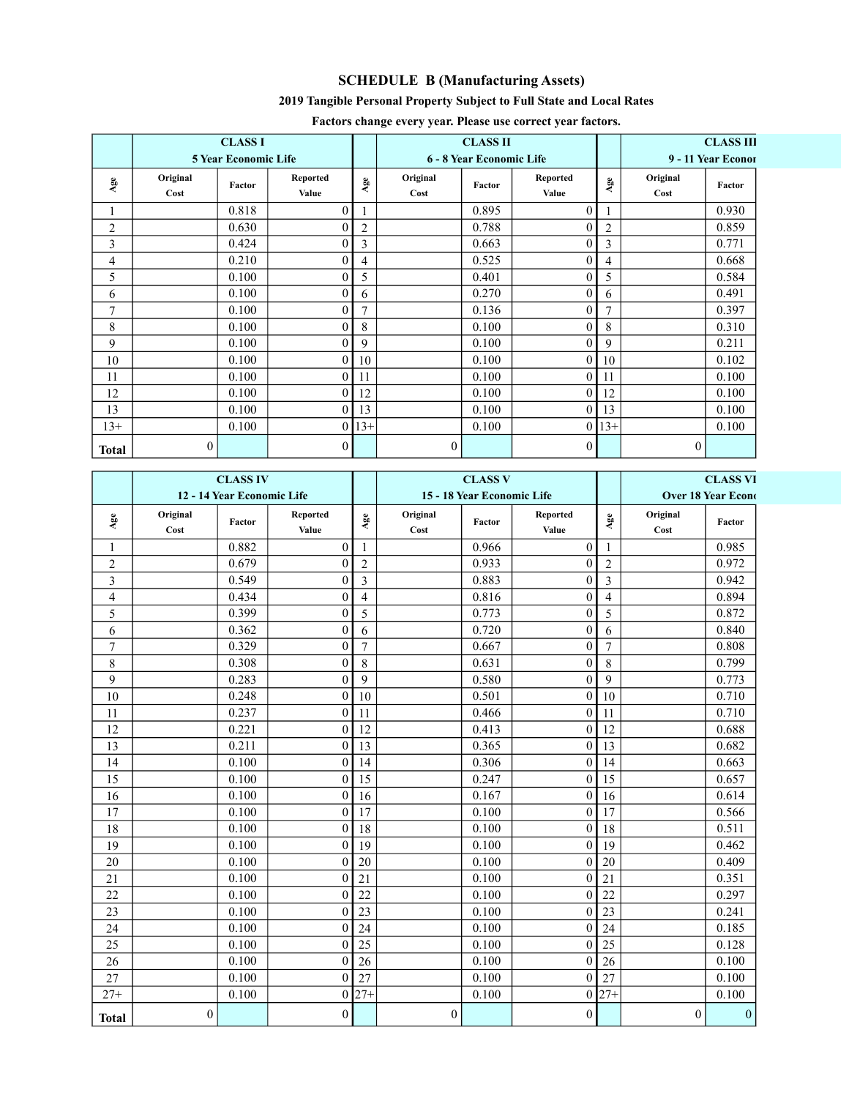# **SCHEDULE B (Manufacturing Assets)**

## **2019 Tangible Personal Property Subject to Full State and Local Rates**

|                |                  | <b>CLASS I</b>              |                          |              |                  | <b>CLASS II</b>          |                   |                | <b>CLASS III</b>   |        |  |
|----------------|------------------|-----------------------------|--------------------------|--------------|------------------|--------------------------|-------------------|----------------|--------------------|--------|--|
|                |                  | <b>5 Year Economic Life</b> |                          |              |                  | 6 - 8 Year Economic Life |                   |                | 9 - 11 Year Econor |        |  |
| Age            | Original<br>Cost | Factor                      | <b>Reported</b><br>Value | $_{\rm Age}$ | Original<br>Cost | Factor                   | Reported<br>Value | $_{\rm Age}$   | Original<br>Cost   | Factor |  |
|                |                  | 0.818                       | 0                        |              |                  | 0.895                    | 0                 |                |                    | 0.930  |  |
| $\overline{2}$ |                  | 0.630                       |                          | 2            |                  | 0.788                    | 0                 | 2              |                    | 0.859  |  |
| 3              |                  | 0.424                       | 0                        | 3            |                  | 0.663                    | 0                 | 3              |                    | 0.771  |  |
| 4              |                  | 0.210                       |                          | 4            |                  | 0.525                    |                   | 4              |                    | 0.668  |  |
| 5              |                  | 0.100                       |                          | 5            |                  | 0.401                    |                   | 5              |                    | 0.584  |  |
| 6              |                  | 0.100                       |                          | 6            |                  | 0.270                    | 0                 | 6              |                    | 0.491  |  |
| $\tau$         |                  | 0.100                       | 0                        | 7            |                  | 0.136                    | 0                 | $\overline{7}$ |                    | 0.397  |  |
| 8              |                  | 0.100                       | 0                        | 8            |                  | 0.100                    | 0                 | 8              |                    | 0.310  |  |
| 9              |                  | 0.100                       | $\Omega$                 | 9            |                  | 0.100                    | 0                 | 9              |                    | 0.211  |  |
| 10             |                  | 0.100                       | 0                        | 10           |                  | 0.100                    | 0                 | 10             |                    | 0.102  |  |
| 11             |                  | 0.100                       | $\Omega$                 | 11           |                  | 0.100                    | 0                 | 11             |                    | 0.100  |  |
| 12             |                  | 0.100                       | 0                        | 12           |                  | 0.100                    | 0                 | 12             |                    | 0.100  |  |
| 13             |                  | 0.100                       |                          | 13           |                  | 0.100                    | 0                 | 13             |                    | 0.100  |  |
| $13+$          |                  | 0.100                       | $\Omega$                 | $13+$        |                  | 0.100                    | 0                 | $13+$          |                    | 0.100  |  |
| <b>Total</b>   | 0                |                             | $\overline{0}$           |              | $\mathbf{0}$     |                          | 0                 |                | $\mathbf{0}$       |        |  |

### **Factors change every year. Please use correct year factors.**

|              |                  | <b>CLASS IV</b>            |                          |                |                  | <b>CLASS V</b>             |                   | <b>CLASS VI</b> |                           |                  |
|--------------|------------------|----------------------------|--------------------------|----------------|------------------|----------------------------|-------------------|-----------------|---------------------------|------------------|
|              |                  | 12 - 14 Year Economic Life |                          |                |                  | 15 - 18 Year Economic Life |                   |                 | <b>Over 18 Year Econd</b> |                  |
| $_{\rm Age}$ | Original<br>Cost | Factor                     | <b>Reported</b><br>Value | $_{\rm Age}$   | Original<br>Cost | Factor                     | Reported<br>Value | $_{\rm Age}$    | Original<br>Cost          | Factor           |
| 1            |                  | 0.882                      | $\mathbf{0}$             | 1              |                  | 0.966                      | $\mathbf{0}$      |                 |                           | 0.985            |
| $\sqrt{2}$   |                  | 0.679                      | $\theta$                 | $\overline{2}$ |                  | 0.933                      | $\mathbf{0}$      | $\overline{2}$  |                           | 0.972            |
| 3            |                  | 0.549                      | $\theta$                 | 3              |                  | 0.883                      | $\mathbf{0}$      | 3               |                           | 0.942            |
| 4            |                  | 0.434                      | $\theta$                 | $\overline{4}$ |                  | 0.816                      | $\boldsymbol{0}$  | $\overline{4}$  |                           | 0.894            |
| 5            |                  | 0.399                      | $\theta$                 | 5              |                  | 0.773                      | $\mathbf{0}$      | 5               |                           | 0.872            |
| 6            |                  | 0.362                      | $\theta$                 | 6              |                  | 0.720                      | $\mathbf{0}$      | 6               |                           | 0.840            |
| 7            |                  | 0.329                      | $\theta$                 | $\overline{7}$ |                  | 0.667                      | $\mathbf{0}$      | $\overline{7}$  |                           | 0.808            |
| $\,$ $\,$    |                  | 0.308                      | $\mathbf{0}$             | $\,8\,$        |                  | 0.631                      | $\boldsymbol{0}$  | $\,8\,$         |                           | 0.799            |
| 9            |                  | 0.283                      | $\theta$                 | 9              |                  | 0.580                      | $\mathbf{0}$      | 9               |                           | 0.773            |
| 10           |                  | 0.248                      | $\theta$                 | 10             |                  | 0.501                      | $\mathbf{0}$      | 10              |                           | 0.710            |
| 11           |                  | 0.237                      | $\theta$                 | 11             |                  | 0.466                      | $\mathbf{0}$      | 11              |                           | 0.710            |
| 12           |                  | 0.221                      | $\theta$                 | 12             |                  | 0.413                      | $\theta$          | 12              |                           | 0.688            |
| 13           |                  | 0.211                      | $\theta$                 | 13             |                  | 0.365                      | $\mathbf{0}$      | 13              |                           | 0.682            |
| 14           |                  | 0.100                      | $\overline{0}$           | 14             |                  | 0.306                      | $\mathbf{0}$      | 14              |                           | 0.663            |
| 15           |                  | 0.100                      | $\mathbf{0}$             | 15             |                  | 0.247                      | $\boldsymbol{0}$  | 15              |                           | 0.657            |
| 16           |                  | 0.100                      | $\theta$                 | 16             |                  | 0.167                      | $\boldsymbol{0}$  | 16              |                           | 0.614            |
| 17           |                  | 0.100                      | $\theta$                 | 17             |                  | 0.100                      | $\boldsymbol{0}$  | 17              |                           | 0.566            |
| 18           |                  | 0.100                      | $\theta$                 | 18             |                  | 0.100                      | $\mathbf{0}$      | 18              |                           | 0.511            |
| 19           |                  | 0.100                      | $\theta$                 | 19             |                  | 0.100                      | $\mathbf{0}$      | 19              |                           | 0.462            |
| 20           |                  | 0.100                      | $\theta$                 | 20             |                  | 0.100                      | $\mathbf{0}$      | 20              |                           | 0.409            |
| 21           |                  | 0.100                      | $\theta$                 | 21             |                  | 0.100                      | $\mathbf{0}$      | 21              |                           | 0.351            |
| 22           |                  | 0.100                      | $\theta$                 | 22             |                  | 0.100                      | $\mathbf{0}$      | 22              |                           | 0.297            |
| 23           |                  | 0.100                      | $\theta$                 | 23             |                  | 0.100                      | $\mathbf{0}$      | 23              |                           | 0.241            |
| 24           |                  | 0.100                      | $\theta$                 | 24             |                  | 0.100                      | $\boldsymbol{0}$  | 24              |                           | 0.185            |
| 25           |                  | 0.100                      | $\theta$                 | 25             |                  | 0.100                      | $\mathbf{0}$      | 25              |                           | 0.128            |
| 26           |                  | 0.100                      | $\theta$                 | 26             |                  | 0.100                      | $\mathbf{0}$      | 26              |                           | 0.100            |
| 27           |                  | 0.100                      | $\theta$                 | 27             |                  | 0.100                      | $\mathbf{0}$      | 27              |                           | 0.100            |
| $27+$        |                  | 0.100                      | $\theta$                 | $27 +$         |                  | 0.100                      | $\boldsymbol{0}$  | $27 +$          |                           | 0.100            |
| <b>Total</b> | $\boldsymbol{0}$ |                            | $\boldsymbol{0}$         |                | $\boldsymbol{0}$ |                            | $\boldsymbol{0}$  |                 | $\boldsymbol{0}$          | $\boldsymbol{0}$ |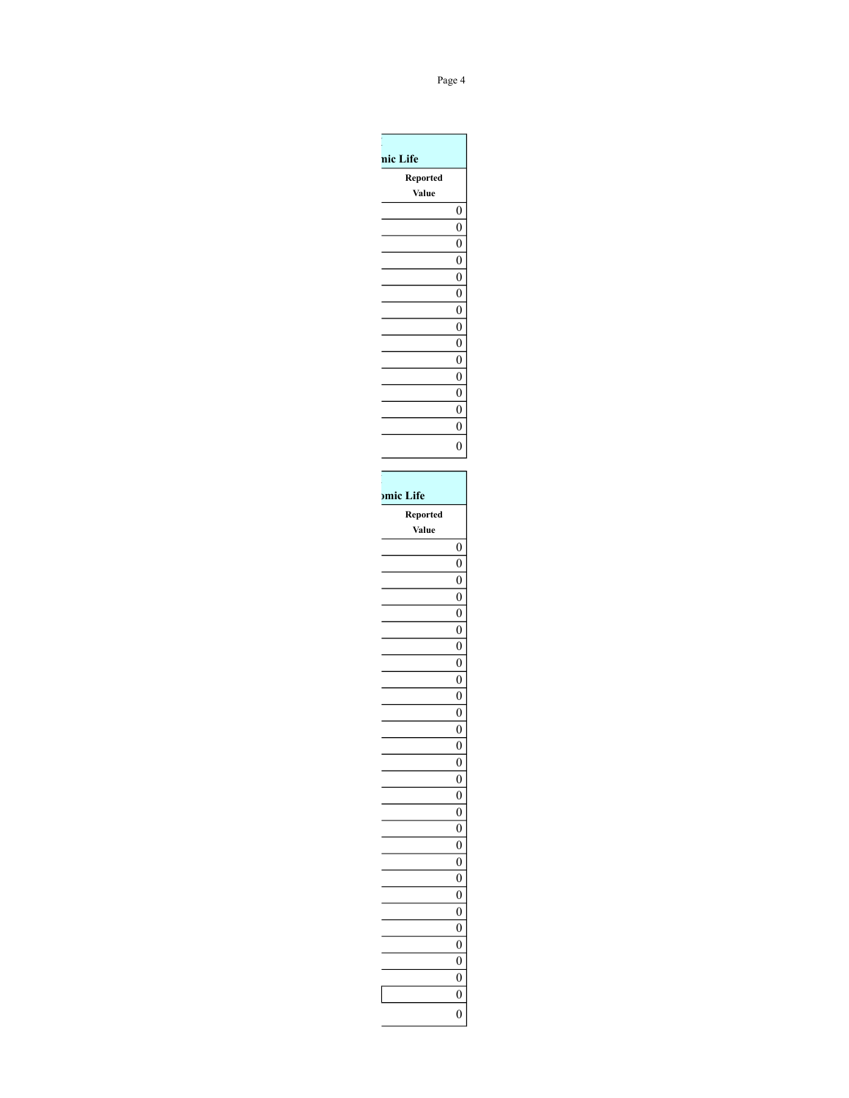| nic Life<br>Reported<br>Value<br>$\boldsymbol{0}$<br>$\boldsymbol{0}$<br>0<br>0<br>0<br>0<br>0<br>0<br>0<br>0<br>0<br>0<br>0<br>0<br>$\boldsymbol{0}$<br>Reported<br>Value<br>0<br>$\boldsymbol{0}$<br>$\boldsymbol{0}$<br>$\boldsymbol{0}$<br>$\boldsymbol{0}$<br>$\boldsymbol{0}$<br>$\boldsymbol{0}$<br>$\boldsymbol{0}$<br>$\boldsymbol{0}$<br>0<br>0<br>0<br>$\overline{0}$<br>$\boldsymbol{0}$<br>$\boldsymbol{0}$<br>$\boldsymbol{0}$<br>$\boldsymbol{0}$<br>$\boldsymbol{0}$<br>$\boldsymbol{0}$<br>$\boldsymbol{0}$<br>$\boldsymbol{0}$<br>$\boldsymbol{0}$<br>$\boldsymbol{0}$<br>$\boldsymbol{0}$<br>$\boldsymbol{0}$<br>$\boldsymbol{0}$<br>$\boldsymbol{0}$<br>$\boldsymbol{0}$ |           |                  |
|----------------------------------------------------------------------------------------------------------------------------------------------------------------------------------------------------------------------------------------------------------------------------------------------------------------------------------------------------------------------------------------------------------------------------------------------------------------------------------------------------------------------------------------------------------------------------------------------------------------------------------------------------------------------------------------------|-----------|------------------|
|                                                                                                                                                                                                                                                                                                                                                                                                                                                                                                                                                                                                                                                                                              |           |                  |
|                                                                                                                                                                                                                                                                                                                                                                                                                                                                                                                                                                                                                                                                                              |           |                  |
|                                                                                                                                                                                                                                                                                                                                                                                                                                                                                                                                                                                                                                                                                              |           |                  |
|                                                                                                                                                                                                                                                                                                                                                                                                                                                                                                                                                                                                                                                                                              |           |                  |
|                                                                                                                                                                                                                                                                                                                                                                                                                                                                                                                                                                                                                                                                                              |           |                  |
|                                                                                                                                                                                                                                                                                                                                                                                                                                                                                                                                                                                                                                                                                              |           |                  |
|                                                                                                                                                                                                                                                                                                                                                                                                                                                                                                                                                                                                                                                                                              |           |                  |
|                                                                                                                                                                                                                                                                                                                                                                                                                                                                                                                                                                                                                                                                                              |           |                  |
|                                                                                                                                                                                                                                                                                                                                                                                                                                                                                                                                                                                                                                                                                              |           |                  |
|                                                                                                                                                                                                                                                                                                                                                                                                                                                                                                                                                                                                                                                                                              |           |                  |
|                                                                                                                                                                                                                                                                                                                                                                                                                                                                                                                                                                                                                                                                                              |           |                  |
|                                                                                                                                                                                                                                                                                                                                                                                                                                                                                                                                                                                                                                                                                              |           |                  |
|                                                                                                                                                                                                                                                                                                                                                                                                                                                                                                                                                                                                                                                                                              |           |                  |
|                                                                                                                                                                                                                                                                                                                                                                                                                                                                                                                                                                                                                                                                                              |           |                  |
|                                                                                                                                                                                                                                                                                                                                                                                                                                                                                                                                                                                                                                                                                              |           |                  |
|                                                                                                                                                                                                                                                                                                                                                                                                                                                                                                                                                                                                                                                                                              |           |                  |
|                                                                                                                                                                                                                                                                                                                                                                                                                                                                                                                                                                                                                                                                                              |           |                  |
|                                                                                                                                                                                                                                                                                                                                                                                                                                                                                                                                                                                                                                                                                              |           |                  |
|                                                                                                                                                                                                                                                                                                                                                                                                                                                                                                                                                                                                                                                                                              |           |                  |
|                                                                                                                                                                                                                                                                                                                                                                                                                                                                                                                                                                                                                                                                                              |           |                  |
|                                                                                                                                                                                                                                                                                                                                                                                                                                                                                                                                                                                                                                                                                              | omic Life |                  |
|                                                                                                                                                                                                                                                                                                                                                                                                                                                                                                                                                                                                                                                                                              |           |                  |
|                                                                                                                                                                                                                                                                                                                                                                                                                                                                                                                                                                                                                                                                                              |           |                  |
|                                                                                                                                                                                                                                                                                                                                                                                                                                                                                                                                                                                                                                                                                              |           |                  |
|                                                                                                                                                                                                                                                                                                                                                                                                                                                                                                                                                                                                                                                                                              |           |                  |
|                                                                                                                                                                                                                                                                                                                                                                                                                                                                                                                                                                                                                                                                                              |           |                  |
|                                                                                                                                                                                                                                                                                                                                                                                                                                                                                                                                                                                                                                                                                              |           |                  |
|                                                                                                                                                                                                                                                                                                                                                                                                                                                                                                                                                                                                                                                                                              |           |                  |
|                                                                                                                                                                                                                                                                                                                                                                                                                                                                                                                                                                                                                                                                                              |           |                  |
|                                                                                                                                                                                                                                                                                                                                                                                                                                                                                                                                                                                                                                                                                              |           |                  |
|                                                                                                                                                                                                                                                                                                                                                                                                                                                                                                                                                                                                                                                                                              |           |                  |
|                                                                                                                                                                                                                                                                                                                                                                                                                                                                                                                                                                                                                                                                                              |           |                  |
|                                                                                                                                                                                                                                                                                                                                                                                                                                                                                                                                                                                                                                                                                              |           |                  |
|                                                                                                                                                                                                                                                                                                                                                                                                                                                                                                                                                                                                                                                                                              |           |                  |
|                                                                                                                                                                                                                                                                                                                                                                                                                                                                                                                                                                                                                                                                                              |           |                  |
|                                                                                                                                                                                                                                                                                                                                                                                                                                                                                                                                                                                                                                                                                              |           |                  |
|                                                                                                                                                                                                                                                                                                                                                                                                                                                                                                                                                                                                                                                                                              |           |                  |
|                                                                                                                                                                                                                                                                                                                                                                                                                                                                                                                                                                                                                                                                                              |           |                  |
|                                                                                                                                                                                                                                                                                                                                                                                                                                                                                                                                                                                                                                                                                              |           |                  |
|                                                                                                                                                                                                                                                                                                                                                                                                                                                                                                                                                                                                                                                                                              |           |                  |
|                                                                                                                                                                                                                                                                                                                                                                                                                                                                                                                                                                                                                                                                                              |           |                  |
|                                                                                                                                                                                                                                                                                                                                                                                                                                                                                                                                                                                                                                                                                              |           |                  |
|                                                                                                                                                                                                                                                                                                                                                                                                                                                                                                                                                                                                                                                                                              |           |                  |
|                                                                                                                                                                                                                                                                                                                                                                                                                                                                                                                                                                                                                                                                                              |           |                  |
|                                                                                                                                                                                                                                                                                                                                                                                                                                                                                                                                                                                                                                                                                              |           |                  |
|                                                                                                                                                                                                                                                                                                                                                                                                                                                                                                                                                                                                                                                                                              |           |                  |
|                                                                                                                                                                                                                                                                                                                                                                                                                                                                                                                                                                                                                                                                                              |           |                  |
|                                                                                                                                                                                                                                                                                                                                                                                                                                                                                                                                                                                                                                                                                              |           |                  |
|                                                                                                                                                                                                                                                                                                                                                                                                                                                                                                                                                                                                                                                                                              |           |                  |
|                                                                                                                                                                                                                                                                                                                                                                                                                                                                                                                                                                                                                                                                                              |           |                  |
|                                                                                                                                                                                                                                                                                                                                                                                                                                                                                                                                                                                                                                                                                              |           | $\boldsymbol{0}$ |

### Page 4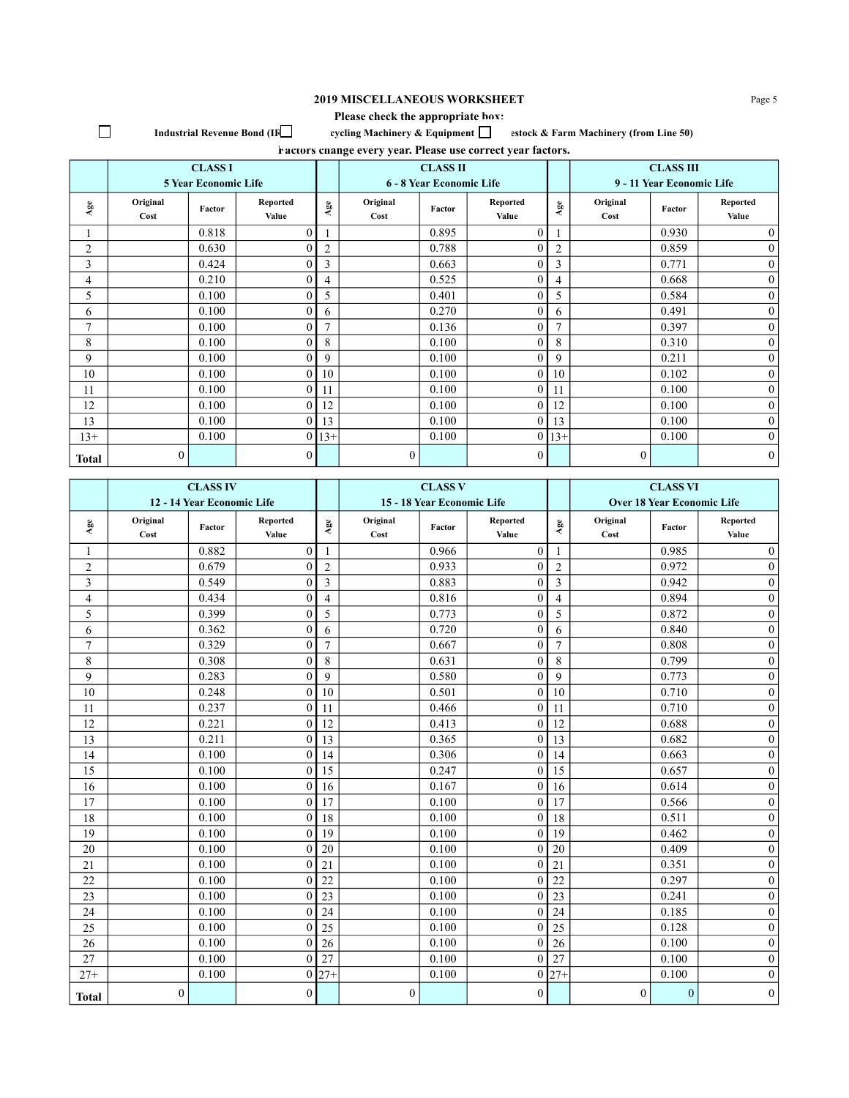## **2019 MISCELLANEOUS WORKSHEET** Page 5

## **Please check the appropriate box: Industrial Revenue Bond (IFC)** cycling Machinery & Equipment C estock & Farm Machinery (from Line 50)

 $\Box$ 

| Factors change every year. Please use correct year factors. |          |                             |                |                   |                          |                 |                  |                |                           |                  |                  |
|-------------------------------------------------------------|----------|-----------------------------|----------------|-------------------|--------------------------|-----------------|------------------|----------------|---------------------------|------------------|------------------|
|                                                             |          | <b>CLASS I</b>              |                |                   |                          | <b>CLASS II</b> |                  |                |                           | <b>CLASS III</b> |                  |
|                                                             |          | <b>5 Year Economic Life</b> |                |                   | 6 - 8 Year Economic Life |                 |                  |                | 9 - 11 Year Economic Life |                  |                  |
| $\mathbf{A}\mathbf{ge}$                                     | Original | Factor                      | Reported       | $\Delta {\rm ge}$ | Original                 | Factor          | Reported         | ${\bf Age}$    | Original                  | Factor           | Reported         |
|                                                             | Cost     |                             | Value          |                   | Cost                     |                 | Value            |                | Cost                      |                  | Value            |
|                                                             |          | 0.818                       | $\theta$       |                   |                          | 0.895           | $\theta$         |                |                           | 0.930            | $\overline{0}$   |
| 2                                                           |          | 0.630                       |                | 2                 |                          | 0.788           | $\theta$         | $\overline{2}$ |                           | 0.859            | $\mathbf{0}$     |
| 3                                                           |          | 0.424                       |                | 3                 |                          | 0.663           | $\theta$         | 3              |                           | 0.771            | $\boldsymbol{0}$ |
| 4                                                           |          | 0.210                       |                | 4                 |                          | 0.525           | $\mathbf{0}$     | 4              |                           | 0.668            | $\overline{0}$   |
| 5                                                           |          | 0.100                       |                | 5                 |                          | 0.401           | $\theta$         | 5              |                           | 0.584            | $\boldsymbol{0}$ |
| 6                                                           |          | 0.100                       |                | 6                 |                          | 0.270           | $\theta$         | 6              |                           | 0.491            | $\mathbf{0}$     |
| $\tau$                                                      |          | 0.100                       | 0              | $\overline{7}$    |                          | 0.136           | $\theta$         | $\overline{7}$ |                           | 0.397            | $\mathbf{0}$     |
| 8                                                           |          | 0.100                       |                | 8                 |                          | 0.100           | $\theta$         | 8              |                           | 0.310            | $\mathbf{0}$     |
| 9                                                           |          | 0.100                       |                | 9                 |                          | 0.100           | $\theta$         | 9              |                           | 0.211            | $\boldsymbol{0}$ |
| 10                                                          |          | 0.100                       | 0              | 10                |                          | 0.100           | $\theta$         | 10             |                           | 0.102            | $\boldsymbol{0}$ |
| 11                                                          |          | 0.100                       |                | 11                |                          | 0.100           | $\theta$         | 11             |                           | 0.100            | $\mathbf{0}$     |
| 12                                                          |          | 0.100                       |                | 12                |                          | 0.100           | $\theta$         | 12             |                           | 0.100            | $\overline{0}$   |
| 13                                                          |          | 0.100                       | 0              | 13                |                          | 0.100           | $\theta$         | 13             |                           | 0.100            | $\mathbf{0}$     |
| $13+$                                                       |          | 0.100                       | $\overline{0}$ | $13+$             |                          | 0.100           | $\overline{0}$   | $13+$          |                           | 0.100            | $\mathbf{0}$     |
| <b>Total</b>                                                | 0        |                             | 0              |                   | $\boldsymbol{0}$         |                 | $\boldsymbol{0}$ |                | $\overline{0}$            |                  | $\overline{0}$   |

|                         | <b>CLASS IV</b>  |                            |                   |                | <b>CLASS V</b>   |                            |                          |                | <b>CLASS VI</b>  |                                   |                   |
|-------------------------|------------------|----------------------------|-------------------|----------------|------------------|----------------------------|--------------------------|----------------|------------------|-----------------------------------|-------------------|
|                         |                  | 12 - 14 Year Economic Life |                   |                |                  | 15 - 18 Year Economic Life |                          |                |                  | <b>Over 18 Year Economic Life</b> |                   |
| Age                     | Original<br>Cost | Factor                     | Reported<br>Value | $_{\rm Age}$   | Original<br>Cost | Factor                     | <b>Reported</b><br>Value | Age            | Original<br>Cost | Factor                            | Reported<br>Value |
|                         |                  | 0.882                      | $\mathbf{0}$      | 1              |                  | 0.966                      | $\overline{0}$           | 1              |                  | 0.985                             | $\mathbf{0}$      |
| $\overline{c}$          |                  | 0.679                      | $\theta$          | $\overline{2}$ |                  | 0.933                      | $\theta$                 | $\overline{2}$ |                  | 0.972                             | $\boldsymbol{0}$  |
| 3                       |                  | 0.549                      | $\theta$          | $\mathfrak{Z}$ |                  | 0.883                      | $\theta$                 | $\overline{3}$ |                  | 0.942                             | $\overline{0}$    |
| $\overline{\mathbf{4}}$ |                  | 0.434                      | $\theta$          | $\overline{4}$ |                  | 0.816                      | $\overline{0}$           | $\overline{4}$ |                  | 0.894                             | $\overline{0}$    |
| 5                       |                  | 0.399                      | $\theta$          | 5              |                  | 0.773                      | $\overline{0}$           | 5              |                  | 0.872                             | $\boldsymbol{0}$  |
| 6                       |                  | 0.362                      | $\theta$          | 6              |                  | 0.720                      | $\theta$                 | 6              |                  | 0.840                             | $\boldsymbol{0}$  |
| 7                       |                  | 0.329                      | $\mathbf{0}$      | $\overline{7}$ |                  | 0.667                      | $\mathbf{0}$             | $\overline{7}$ |                  | 0.808                             | $\mathbf{0}$      |
| 8                       |                  | 0.308                      | $\theta$          | 8              |                  | 0.631                      | $\theta$                 | 8              |                  | 0.799                             | $\overline{0}$    |
| 9                       |                  | 0.283                      | $\mathbf{0}$      | 9              |                  | 0.580                      | $\overline{0}$           | 9              |                  | 0.773                             | $\mathbf{0}$      |
| 10                      |                  | 0.248                      | $\theta$          | 10             |                  | 0.501                      | $\theta$                 | 10             |                  | 0.710                             | $\mathbf{0}$      |
| 11                      |                  | 0.237                      | $\mathbf{0}$      | 11             |                  | 0.466                      | $\mathbf{0}$             | 11             |                  | 0.710                             | $\boldsymbol{0}$  |
| 12                      |                  | 0.221                      | $\overline{0}$    | 12             |                  | 0.413                      | $\theta$                 | 12             |                  | 0.688                             | $\mathbf{0}$      |
| 13                      |                  | 0.211                      | $\theta$          | 13             |                  | 0.365                      | $\theta$                 | 13             |                  | 0.682                             | $\mathbf{0}$      |
| 14                      |                  | 0.100                      | $\mathbf{0}$      | 14             |                  | 0.306                      | $\overline{0}$           | 14             |                  | 0.663                             | $\boldsymbol{0}$  |
| 15                      |                  | 0.100                      | $\theta$          | 15             |                  | 0.247                      | $\theta$                 | 15             |                  | 0.657                             | $\overline{0}$    |
| 16                      |                  | 0.100                      | $\mathbf{0}$      | 16             |                  | 0.167                      | $\boldsymbol{0}$         | 16             |                  | 0.614                             | $\boldsymbol{0}$  |
| 17                      |                  | 0.100                      | $\theta$          | 17             |                  | 0.100                      | $\theta$                 | 17             |                  | 0.566                             | $\mathbf{0}$      |
| 18                      |                  | 0.100                      | $\boldsymbol{0}$  | 18             |                  | 0.100                      | $\overline{0}$           | 18             |                  | 0.511                             | $\boldsymbol{0}$  |
| 19                      |                  | 0.100                      | $\theta$          | 19             |                  | 0.100                      | $\theta$                 | 19             |                  | 0.462                             | $\mathbf{0}$      |
| 20                      |                  | 0.100                      | $\theta$          | 20             |                  | 0.100                      | $\overline{0}$           | 20             |                  | 0.409                             | $\boldsymbol{0}$  |
| 21                      |                  | 0.100                      | $\mathbf{0}$      | 21             |                  | 0.100                      | $\mathbf{0}$             | 21             |                  | 0.351                             | $\mathbf{0}$      |
| 22                      |                  | 0.100                      | $\Omega$          | 22             |                  | 0.100                      | $\theta$                 | 22             |                  | 0.297                             | $\overline{0}$    |
| 23                      |                  | 0.100                      | $\theta$          | 23             |                  | 0.100                      | $\overline{0}$           | 23             |                  | 0.241                             | $\boldsymbol{0}$  |
| 24                      |                  | 0.100                      | $\theta$          | 24             |                  | 0.100                      | $\theta$                 | 24             |                  | 0.185                             | $\overline{0}$    |
| 25                      |                  | 0.100                      | $\boldsymbol{0}$  | 25             |                  | 0.100                      | $\overline{0}$           | 25             |                  | 0.128                             | $\boldsymbol{0}$  |
| 26                      |                  | 0.100                      | $\theta$          | 26             |                  | 0.100                      | $\theta$                 | 26             |                  | 0.100                             | $\mathbf{0}$      |
| 27                      |                  | 0.100                      | $\theta$          | 27             |                  | 0.100                      | $\theta$                 | 27             |                  | 0.100                             | $\boldsymbol{0}$  |
| $27+$                   |                  | 0.100                      | $\mathbf{0}$      | $27 +$         |                  | 0.100                      | $\overline{0}$           | $27 +$         |                  | 0.100                             | $\overline{0}$    |
| <b>Total</b>            | $\boldsymbol{0}$ |                            | $\mathbf{0}$      |                | $\boldsymbol{0}$ |                            | $\boldsymbol{0}$         |                | $\boldsymbol{0}$ | $\mathbf{0}$                      | $\boldsymbol{0}$  |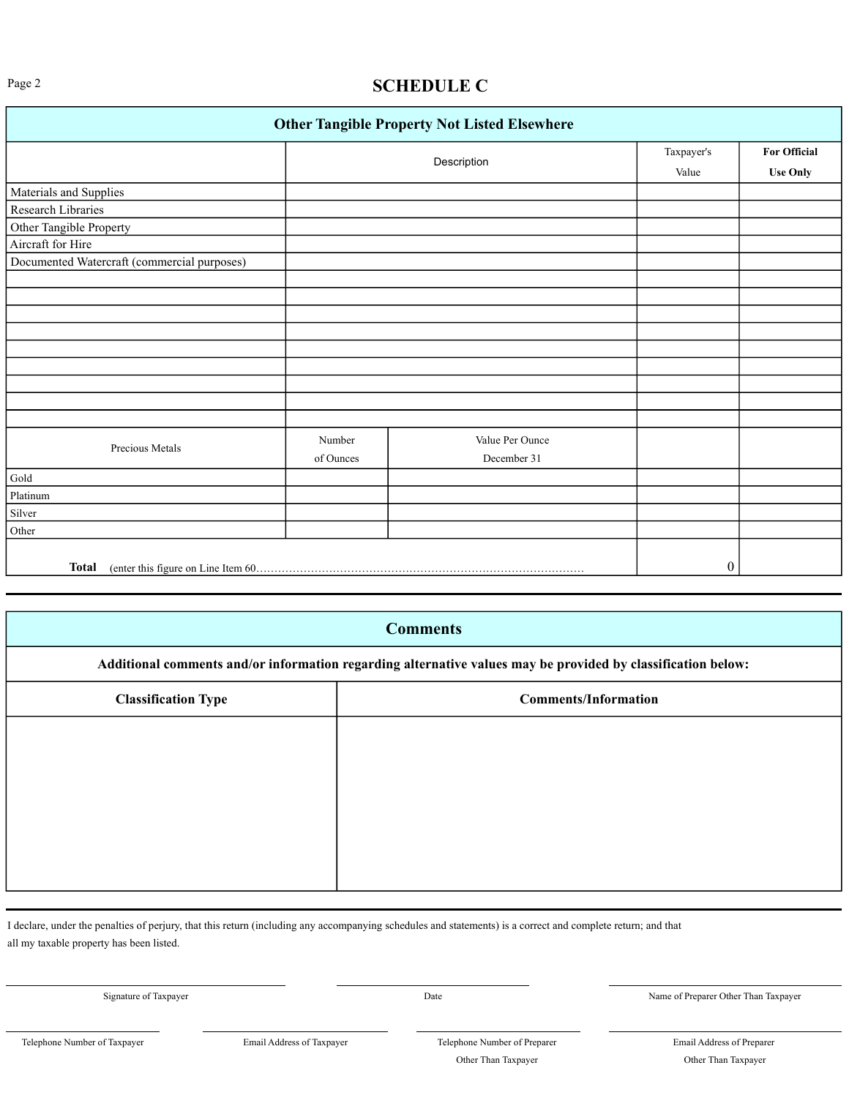# Page 2 **SCHEDULE C**

|                                             |           | <b>Other Tangible Property Not Listed Elsewhere</b> |            |                     |
|---------------------------------------------|-----------|-----------------------------------------------------|------------|---------------------|
|                                             |           | Description                                         | Taxpayer's | <b>For Official</b> |
|                                             |           |                                                     | Value      | <b>Use Only</b>     |
| Materials and Supplies                      |           |                                                     |            |                     |
| Research Libraries                          |           |                                                     |            |                     |
| Other Tangible Property                     |           |                                                     |            |                     |
| Aircraft for Hire                           |           |                                                     |            |                     |
| Documented Watercraft (commercial purposes) |           |                                                     |            |                     |
|                                             |           |                                                     |            |                     |
|                                             |           |                                                     |            |                     |
|                                             |           |                                                     |            |                     |
|                                             |           |                                                     |            |                     |
|                                             |           |                                                     |            |                     |
|                                             |           |                                                     |            |                     |
|                                             |           |                                                     |            |                     |
|                                             |           |                                                     |            |                     |
|                                             |           |                                                     |            |                     |
| Precious Metals                             | Number    | Value Per Ounce                                     |            |                     |
|                                             | of Ounces | December 31                                         |            |                     |
| Gold                                        |           |                                                     |            |                     |
| Platinum                                    |           |                                                     |            |                     |
| Silver                                      |           |                                                     |            |                     |
| Other                                       |           |                                                     |            |                     |
|                                             |           |                                                     |            |                     |
| <b>Total</b>                                |           |                                                     | 0          |                     |

|                                                                                                              | <b>Comments</b>             |  |  |  |  |  |
|--------------------------------------------------------------------------------------------------------------|-----------------------------|--|--|--|--|--|
| Additional comments and/or information regarding alternative values may be provided by classification below: |                             |  |  |  |  |  |
| <b>Classification Type</b>                                                                                   | <b>Comments/Information</b> |  |  |  |  |  |
|                                                                                                              |                             |  |  |  |  |  |
|                                                                                                              |                             |  |  |  |  |  |
|                                                                                                              |                             |  |  |  |  |  |
|                                                                                                              |                             |  |  |  |  |  |
|                                                                                                              |                             |  |  |  |  |  |

I declare, under the penalties of perjury, that this return (including any accompanying schedules and statements) is a correct and complete return; and that all my taxable property has been listed.

Signature of Taxpayer Date Name of Preparer Other Than Taxpayer

Telephone Number of Taxpayer Email Address of Taxpayer Telephone Number of Preparer Email Address of Preparer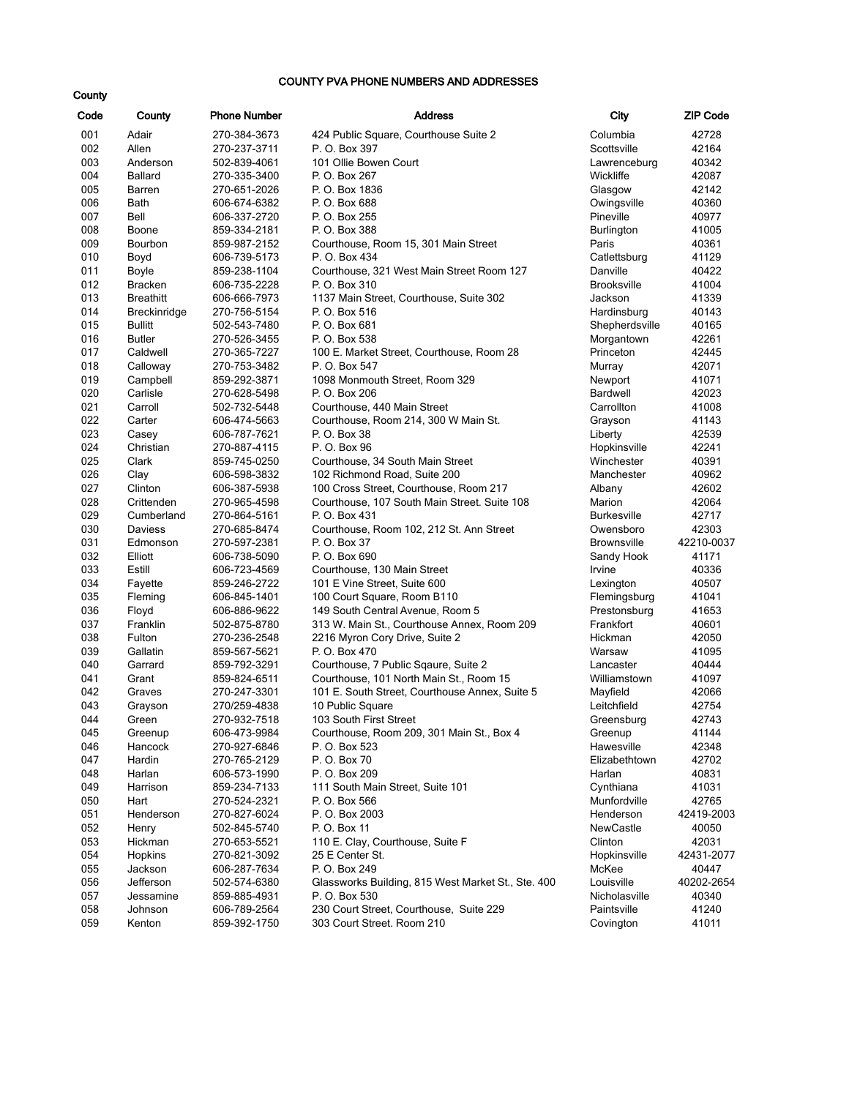#### COUNTY PVA PHONE NUMBERS AND ADDRESSES

| Code       | County                | <b>Phone Number</b>          | <b>Address</b>                                                | City                         | ZIP Code       |
|------------|-----------------------|------------------------------|---------------------------------------------------------------|------------------------------|----------------|
| 001        | Adair                 | 270-384-3673                 | 424 Public Square, Courthouse Suite 2                         | Columbia                     | 42728          |
| 002        | Allen                 | 270-237-3711                 | P. O. Box 397                                                 | Scottsville                  | 42164          |
| 003        | Anderson              | 502-839-4061                 | 101 Ollie Bowen Court                                         | Lawrenceburg                 | 40342          |
| 004        | <b>Ballard</b>        | 270-335-3400                 | P. O. Box 267                                                 | Wickliffe                    | 42087          |
| 005        | Barren                | 270-651-2026                 | P. O. Box 1836                                                | Glasgow                      | 42142          |
| 006        | Bath                  | 606-674-6382                 | P. O. Box 688                                                 | Owingsville                  | 40360          |
| 007        | Bell                  | 606-337-2720                 | P. O. Box 255                                                 | Pineville                    | 40977          |
| 008        | Boone                 | 859-334-2181                 | P. O. Box 388                                                 | Burlington                   | 41005          |
| 009        | Bourbon               | 859-987-2152                 | Courthouse, Room 15, 301 Main Street                          | Paris                        | 40361          |
| 010        | Boyd                  | 606-739-5173                 | P. O. Box 434                                                 | Catlettsburg                 | 41129          |
| 011        | Boyle                 | 859-238-1104                 | Courthouse, 321 West Main Street Room 127                     | Danville                     | 40422          |
| 012        | <b>Bracken</b>        | 606-735-2228                 | P. O. Box 310                                                 | <b>Brooksville</b>           | 41004          |
| 013        | <b>Breathitt</b>      | 606-666-7973                 | 1137 Main Street, Courthouse, Suite 302                       | Jackson                      | 41339          |
| 014        | <b>Breckinridge</b>   | 270-756-5154                 | P. O. Box 516                                                 | Hardinsburg                  | 40143          |
| 015        | <b>Bullitt</b>        | 502-543-7480                 | P. O. Box 681                                                 | Shepherdsville               | 40165          |
| 016        | <b>Butler</b>         | 270-526-3455                 | P. O. Box 538                                                 | Morgantown                   | 42261          |
| 017        | Caldwell              | 270-365-7227                 | 100 E. Market Street, Courthouse, Room 28                     | Princeton                    | 42445          |
| 018        | Calloway              | 270-753-3482                 | P. O. Box 547                                                 | Murray                       | 42071          |
| 019        | Campbell              | 859-292-3871                 | 1098 Monmouth Street, Room 329                                | Newport                      | 41071          |
| 020        | Carlisle              | 270-628-5498                 | P. O. Box 206                                                 | <b>Bardwell</b>              | 42023          |
| 021        | Carroll               | 502-732-5448                 | Courthouse, 440 Main Street                                   | Carrollton                   | 41008          |
| 022        | Carter                | 606-474-5663                 | Courthouse, Room 214, 300 W Main St.                          | Grayson                      | 41143          |
| 023        | Casey                 | 606-787-7621                 | P. O. Box 38                                                  | Liberty                      | 42539          |
| 024        | Christian             | 270-887-4115                 | P. O. Box 96                                                  | Hopkinsville                 | 42241          |
| 025        | Clark                 | 859-745-0250                 | Courthouse, 34 South Main Street                              | Winchester                   | 40391          |
| 026        | Clay                  | 606-598-3832                 | 102 Richmond Road, Suite 200                                  | Manchester                   | 40962          |
| 027        | Clinton<br>Crittenden | 606-387-5938                 | 100 Cross Street, Courthouse, Room 217                        | Albany                       | 42602          |
| 028<br>029 | Cumberland            | 270-965-4598                 | Courthouse, 107 South Main Street. Suite 108<br>P. O. Box 431 | Marion<br><b>Burkesville</b> | 42064<br>42717 |
| 030        | Daviess               | 270-864-5161<br>270-685-8474 | Courthouse, Room 102, 212 St. Ann Street                      | Owensboro                    | 42303          |
| 031        | Edmonson              | 270-597-2381                 | P. O. Box 37                                                  | <b>Brownsville</b>           | 42210-0037     |
| 032        | Elliott               | 606-738-5090                 | P. O. Box 690                                                 | Sandy Hook                   | 41171          |
| 033        | Estill                | 606-723-4569                 | Courthouse, 130 Main Street                                   | Irvine                       | 40336          |
| 034        | Fayette               | 859-246-2722                 | 101 E Vine Street, Suite 600                                  | Lexington                    | 40507          |
| 035        | Fleming               | 606-845-1401                 | 100 Court Square, Room B110                                   | Flemingsburg                 | 41041          |
| 036        | Floyd                 | 606-886-9622                 | 149 South Central Avenue, Room 5                              | Prestonsburg                 | 41653          |
| 037        | Franklin              | 502-875-8780                 | 313 W. Main St., Courthouse Annex, Room 209                   | Frankfort                    | 40601          |
| 038        | Fulton                | 270-236-2548                 | 2216 Myron Cory Drive, Suite 2                                | Hickman                      | 42050          |
| 039        | Gallatin              | 859-567-5621                 | P. O. Box 470                                                 | Warsaw                       | 41095          |
| 040        | Garrard               | 859-792-3291                 | Courthouse, 7 Public Sqaure, Suite 2                          | Lancaster                    | 40444          |
| 041        | Grant                 | 859-824-6511                 | Courthouse, 101 North Main St., Room 15                       | Williamstown                 | 41097          |
| 042        | Graves                | 270-247-3301                 | 101 E. South Street, Courthouse Annex, Suite 5                | Mayfield                     | 42066          |
| 043        | Grayson               | 270/259-4838                 | 10 Public Square                                              | Leitchfield                  | 42754          |
| 044        | Green                 | 270-932-7518                 | 103 South First Street                                        | Greensburg                   | 42743          |
| 045        | Greenup               | 606-473-9984                 | Courthouse, Room 209, 301 Main St., Box 4                     | Greenup                      | 41144          |
| 046        | Hancock               | 270-927-6846                 | P. O. Box 523                                                 | Hawesville                   | 42348          |
| 047        | Hardin                | 270-765-2129                 | P. O. Box 70                                                  | Elizabethtown                | 42702          |
| 048        | Harlan                | 606-573-1990                 | P. O. Box 209                                                 | Harlan                       | 40831          |
| 049        | Harrison              | 859-234-7133                 | 111 South Main Street, Suite 101                              | Cynthiana                    | 41031          |
| 050        | Hart                  | 270-524-2321                 | P. O. Box 566                                                 | Munfordville                 | 42765          |
| 051        | Henderson             | 270-827-6024                 | P. O. Box 2003                                                | Henderson                    | 42419-2003     |
| 052        | Henry                 | 502-845-5740                 | P. O. Box 11                                                  | NewCastle                    | 40050          |
| 053        | Hickman               | 270-653-5521                 | 110 E. Clay, Courthouse, Suite F                              | Clinton                      | 42031          |
| 054        | Hopkins               | 270-821-3092                 | 25 E Center St.                                               | Hopkinsville                 | 42431-2077     |
| 055        | Jackson               | 606-287-7634                 | P. O. Box 249                                                 | McKee                        | 40447          |
| 056        | Jefferson             | 502-574-6380                 | Glassworks Building, 815 West Market St., Ste. 400            | Louisville<br>Nicholasville  | 40202-2654     |
| 057<br>058 | Jessamine<br>Johnson  | 859-885-4931<br>606-789-2564 | P. O. Box 530<br>230 Court Street, Courthouse, Suite 229      | Paintsville                  | 40340<br>41240 |
| 059        | Kenton                | 859-392-1750                 | 303 Court Street. Room 210                                    | Covington                    | 41011          |
|            |                       |                              |                                                               |                              |                |

| <b>ZIP Code</b>     |
|---------------------|
| 42728               |
| 42164               |
| 40342               |
| 42087               |
| 42142               |
| 40360               |
| 40977               |
| 41005               |
| 40361               |
| 41129               |
| 40422               |
| 41004               |
| 41339               |
| 40143               |
| 40165               |
| 42261               |
| 42445               |
| 42071               |
| 41071               |
| 42023               |
| 41008               |
| 41143               |
| 42539               |
| 42241               |
| 40391               |
| 40962               |
| 42602               |
| 42064               |
| 42717               |
| 42303               |
| 42210-0037          |
| 41171               |
| 40336               |
| 40507               |
| 41041               |
| 41653               |
| 40601               |
| 42050               |
| 41095               |
| 40444               |
| 41097               |
| 42066               |
| 42754               |
| 42743               |
| 41144               |
| 42348               |
| 42702               |
| 40831               |
| 41031               |
| 42765               |
| 42419-2003          |
| 40050               |
| 42031               |
| 42431-2077          |
| 40447<br>40202-2654 |
| 40340               |
| 41240               |
| 41011               |
|                     |

#### **County**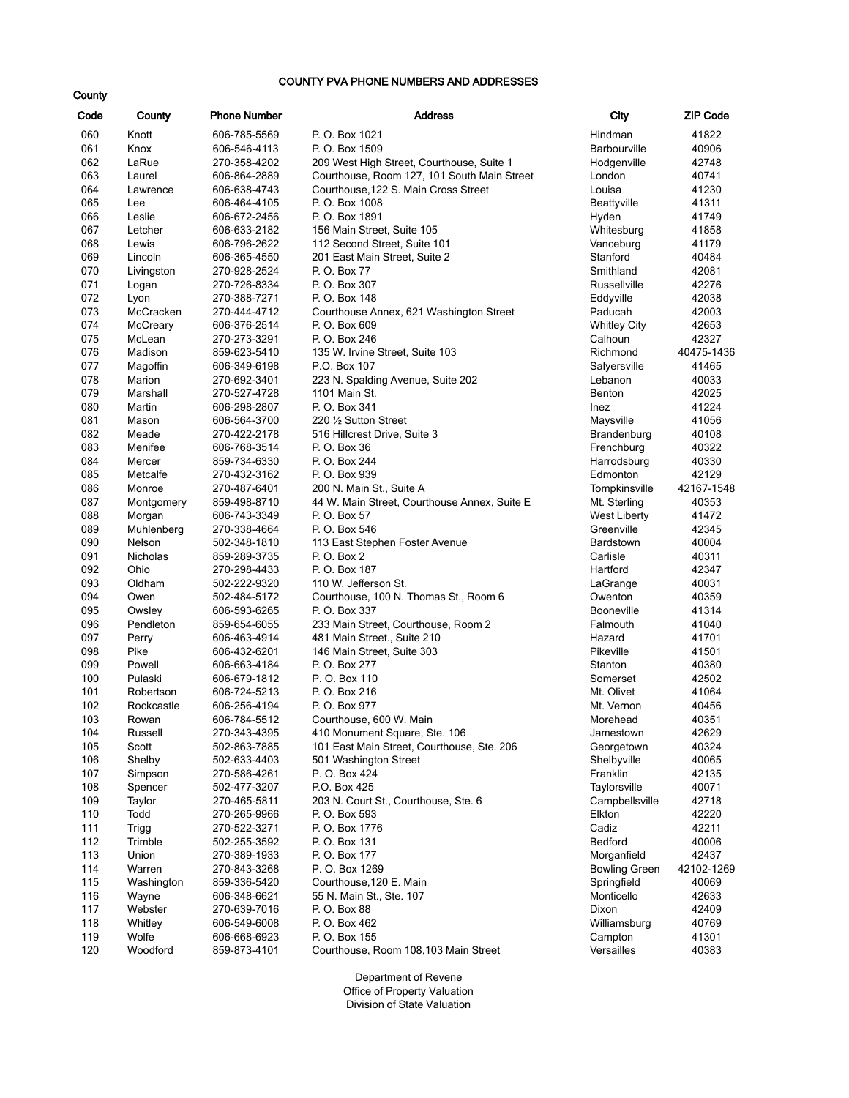#### COUNTY PVA PHONE NUMBERS AND ADDRESSES

| Code       | County         | <b>Phone Number</b>          | <b>Address</b><br>City                       |                      | <b>ZIP Code</b> |
|------------|----------------|------------------------------|----------------------------------------------|----------------------|-----------------|
| 060        | Knott          | 606-785-5569                 | P. O. Box 1021                               | Hindman              | 41822           |
| 061        | Knox           | 606-546-4113                 | P. O. Box 1509                               | <b>Barbourville</b>  | 40906           |
| 062        | LaRue          | 270-358-4202                 | 209 West High Street, Courthouse, Suite 1    | Hodgenville          | 42748           |
| 063        | Laurel         | 606-864-2889                 | Courthouse, Room 127, 101 South Main Street  | London               | 40741           |
| 064        | Lawrence       | 606-638-4743                 | Courthouse, 122 S. Main Cross Street         | Louisa               | 41230           |
| 065        | Lee            | 606-464-4105                 | P. O. Box 1008                               | Beattyville          | 41311           |
| 066        | Leslie         | 606-672-2456                 | P. O. Box 1891                               | Hyden                | 41749           |
| 067        | Letcher        | 606-633-2182                 | 156 Main Street, Suite 105                   | Whitesburg           | 41858           |
| 068        | Lewis          | 606-796-2622                 | 112 Second Street, Suite 101                 | Vanceburg            | 41179           |
| 069        | Lincoln        | 606-365-4550                 | 201 East Main Street, Suite 2                | Stanford             | 40484           |
| 070        | Livingston     | 270-928-2524                 | P. O. Box 77                                 | Smithland            | 42081           |
| 071        | Logan          | 270-726-8334                 | P. O. Box 307                                | Russellville         | 42276           |
| 072        | Lyon           | 270-388-7271                 | P. O. Box 148                                | Eddyville            | 42038           |
| 073        | McCracken      | 270-444-4712                 | Courthouse Annex, 621 Washington Street      | Paducah              | 42003           |
| 074        | McCreary       | 606-376-2514                 | P. O. Box 609                                | <b>Whitley City</b>  | 42653           |
| 075        | McLean         | 270-273-3291                 | P. O. Box 246                                | Calhoun              | 42327           |
| 076        | Madison        | 859-623-5410                 | 135 W. Irvine Street, Suite 103              | Richmond             | 40475-1436      |
| 077        | Magoffin       | 606-349-6198                 | P.O. Box 107                                 | Salyersville         | 41465           |
| 078        | Marion         | 270-692-3401                 | 223 N. Spalding Avenue, Suite 202            | Lebanon              | 40033           |
| 079        | Marshall       | 270-527-4728                 | 1101 Main St.                                | <b>Benton</b>        | 42025           |
| 080        | Martin         | 606-298-2807                 | P. O. Box 341                                | Inez                 | 41224           |
| 081        | Mason          | 606-564-3700                 | 220 1/2 Sutton Street                        | Maysville            | 41056           |
| 082        | Meade          | 270-422-2178                 | 516 Hillcrest Drive, Suite 3                 | Brandenburg          | 40108           |
| 083        | Menifee        | 606-768-3514                 | P. O. Box 36                                 | Frenchburg           | 40322           |
| 084        | Mercer         | 859-734-6330                 | P. O. Box 244                                | Harrodsburg          | 40330           |
| 085        | Metcalfe       | 270-432-3162                 | P. O. Box 939                                | Edmonton             | 42129           |
| 086        | Monroe         | 270-487-6401                 | 200 N. Main St., Suite A                     | Tompkinsville        | 42167-1548      |
| 087        | Montgomery     | 859-498-8710                 | 44 W. Main Street, Courthouse Annex, Suite E | Mt. Sterling         | 40353           |
| 088        | Morgan         | 606-743-3349                 | P. O. Box 57                                 | West Liberty         | 41472           |
| 089        | Muhlenberg     | 270-338-4664                 | P. O. Box 546                                | Greenville           | 42345           |
| 090        | Nelson         | 502-348-1810                 | 113 East Stephen Foster Avenue               | Bardstown            | 40004           |
| 091        | Nicholas       | 859-289-3735                 | P. O. Box 2                                  | Carlisle             | 40311           |
| 092        | Ohio           | 270-298-4433                 | P. O. Box 187                                | Hartford             | 42347           |
| 093        | Oldham         | 502-222-9320                 | 110 W. Jefferson St.                         | LaGrange             | 40031           |
| 094        | Owen           | 502-484-5172                 | Courthouse, 100 N. Thomas St., Room 6        | Owenton              | 40359           |
| 095        | Owsley         | 606-593-6265                 | P. O. Box 337                                | <b>Booneville</b>    | 41314           |
| 096        | Pendleton      | 859-654-6055                 | 233 Main Street, Courthouse, Room 2          | Falmouth             | 41040           |
| 097        | Perry          | 606-463-4914                 | 481 Main Street., Suite 210                  | Hazard<br>Pikeville  | 41701           |
| 098<br>099 | Pike<br>Powell | 606-432-6201<br>606-663-4184 | 146 Main Street, Suite 303                   |                      | 41501           |
| 100        | Pulaski        |                              | P. O. Box 277                                | Stanton<br>Somerset  | 40380           |
| 101        | Robertson      | 606-679-1812<br>606-724-5213 | P. O. Box 110<br>P. O. Box 216               | Mt. Olivet           | 42502<br>41064  |
| 102        | Rockcastle     | 606-256-4194                 | P. O. Box 977                                | Mt. Vernon           | 40456           |
| 103        | Rowan          | 606-784-5512                 | Courthouse, 600 W. Main                      | Morehead             | 40351           |
| 104        | Russell        | 270-343-4395                 | 410 Monument Square, Ste. 106                | Jamestown            | 42629           |
| 105        | Scott          | 502-863-7885                 | 101 East Main Street, Courthouse, Ste. 206   | Georgetown           | 40324           |
| 106        | Shelby         | 502-633-4403                 | 501 Washington Street                        | Shelbyville          | 40065           |
| 107        | Simpson        | 270-586-4261                 | P. O. Box 424                                | Franklin             | 42135           |
| 108        | Spencer        | 502-477-3207                 | P.O. Box 425                                 | Taylorsville         | 40071           |
| 109        | Taylor         | 270-465-5811                 | 203 N. Court St., Courthouse, Ste. 6         | Campbellsville       | 42718           |
| 110        | Todd           | 270-265-9966                 | P. O. Box 593                                | Elkton               | 42220           |
| 111        | Trigg          | 270-522-3271                 | P. O. Box 1776                               | Cadiz                | 42211           |
| 112        | Trimble        | 502-255-3592                 | P. O. Box 131                                | <b>Bedford</b>       | 40006           |
| 113        | Union          | 270-389-1933                 | P. O. Box 177                                | Morganfield          | 42437           |
| 114        | Warren         | 270-843-3268                 | P. O. Box 1269                               | <b>Bowling Green</b> | 42102-1269      |
| 115        | Washington     | 859-336-5420                 | Courthouse, 120 E. Main                      | Springfield          | 40069           |
| 116        | Wayne          | 606-348-6621                 | 55 N. Main St., Ste. 107                     | Monticello           | 42633           |
| 117        | Webster        | 270-639-7016                 | P. O. Box 88                                 | Dixon                | 42409           |
| 118        | Whitley        | 606-549-6008                 | P. O. Box 462                                | Williamsburg         | 40769           |
| 119        | Wolfe          | 606-668-6923                 | P. O. Box 155                                | Campton              | 41301           |
| 120        | Woodford       | 859-873-4101                 | Courthouse, Room 108,103 Main Street         | Versailles           | 40383           |

Department of Revene Office of Property Valuation Division of State Valuation

#### **County**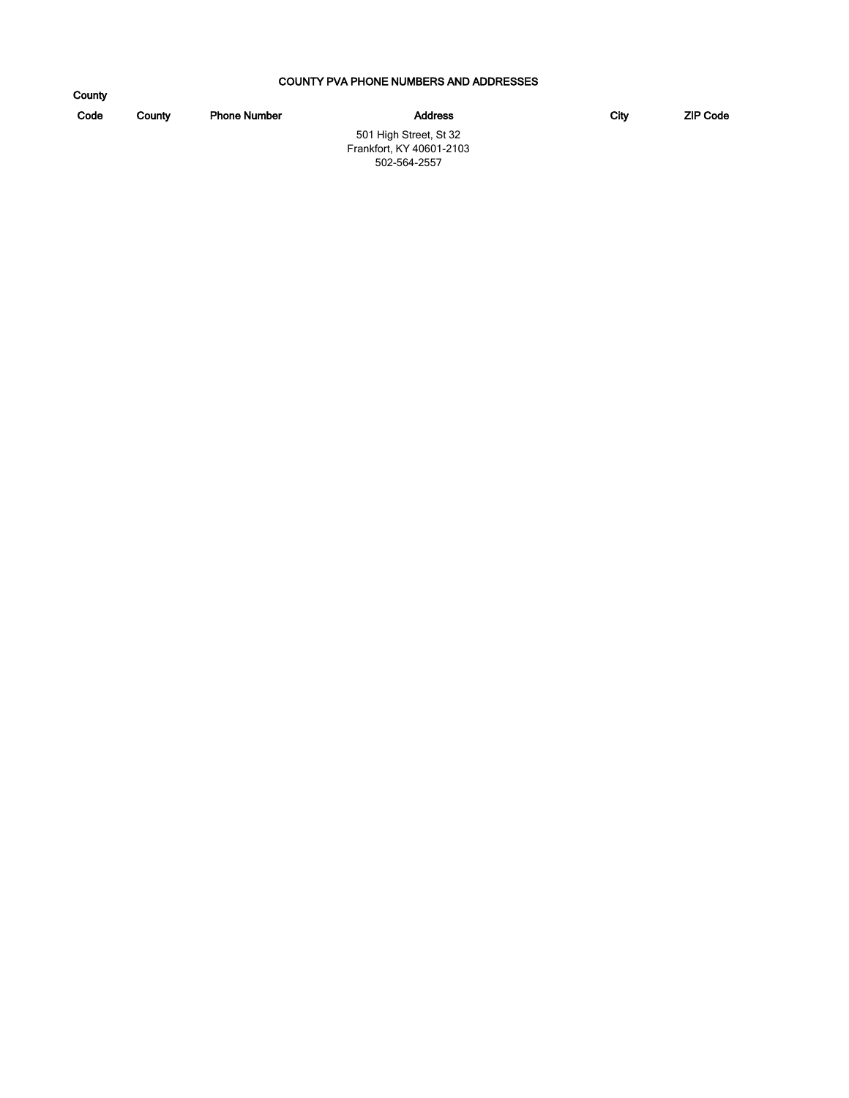#### COUNTY PVA PHONE NUMBERS AND ADDRESSES

| County |        |                     |                          |      |                 |
|--------|--------|---------------------|--------------------------|------|-----------------|
| Code   | County | <b>Phone Number</b> | <b>Address</b>           | City | <b>ZIP Code</b> |
|        |        |                     | 501 High Street, St 32   |      |                 |
|        |        |                     | Frankfort, KY 40601-2103 |      |                 |
|        |        |                     | 502-564-2557             |      |                 |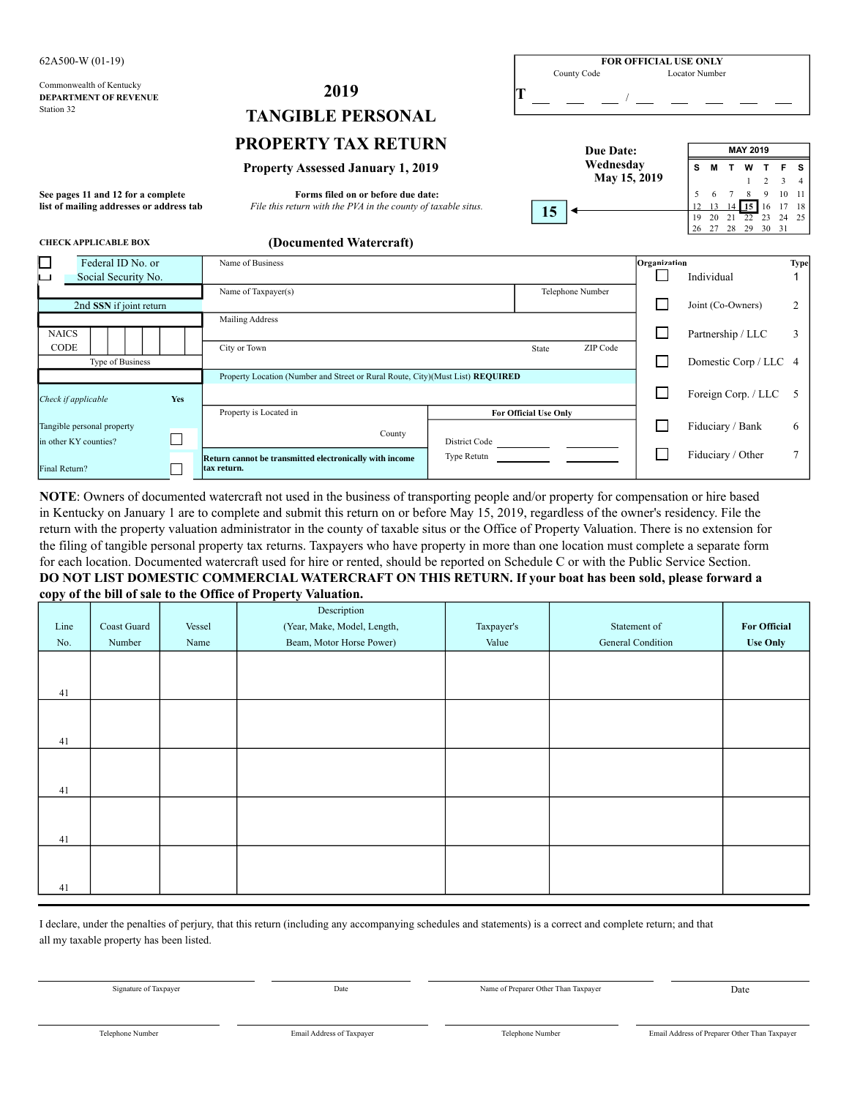| 62A500-W (01-19)                                                               |                                                                                                     | <b>FOR OFFICIAL USE ONLY</b> |              |                                |                      |                   |             |                |
|--------------------------------------------------------------------------------|-----------------------------------------------------------------------------------------------------|------------------------------|--------------|--------------------------------|----------------------|-------------------|-------------|----------------|
| Commonwealth of Kentucky<br><b>DEPARTMENT OF REVENUE</b><br>Station 32         | 2019<br><b>TANGIBLE PERSONAL</b>                                                                    | County Code                  |              | <b>Locator Number</b>          |                      |                   |             |                |
|                                                                                | <b>PROPERTY TAX RETURN</b>                                                                          | <b>Due Date:</b>             |              |                                | <b>MAY 2019</b>      |                   |             |                |
|                                                                                | <b>Property Assessed January 1, 2019</b>                                                            | Wednesday<br>May 15, 2019    |              | s                              |                      |                   | $3 \quad 4$ | <b>s</b>       |
| See pages 11 and 12 for a complete<br>list of mailing addresses or address tab | Forms filed on or before due date:<br>File this return with the PVA in the county of taxable situs. | 15                           |              | 5<br>6<br>19<br>20<br>27<br>26 | 22<br>21<br>28<br>29 | 16<br>23<br>30 31 | 24 25       | 10 11<br>17 18 |
| <b>CHECK APPLICABLE BOX</b>                                                    | (Documented Watercraft)                                                                             |                              |              |                                |                      |                   |             |                |
| $\Box$<br>Federal ID No. or<br>Social Security No.<br>$\sim$ 1                 | Name of Business                                                                                    |                              | Organization | Individual                     |                      |                   |             | Type           |
| 2nd SSN if joint return                                                        | Name of Taxpayer(s)                                                                                 | Telephone Number             |              | Joint (Co-Owners)              |                      |                   |             | 2              |
| <b>NAICS</b>                                                                   | Mailing Address                                                                                     |                              |              | Partnership / LLC              |                      |                   |             | 3              |

Type of Business **Domestic Corp / LLC** 4

*Check if applicable* **Yes** Foreign Corp. / LLC 5

Property is Located in **For Official Use Only** 

Property Location (Number and Street or Rural Route, City)(Must List) **REQUIRED**

County

| NOTE: Owners of documented watercraft not used in the business of transporting people and/or property for compensation or hire based           |
|------------------------------------------------------------------------------------------------------------------------------------------------|
| in Kentucky on January 1 are to complete and submit this return on or before May 15, 2019, regardless of the owner's residency. File the       |
| return with the property valuation administrator in the county of taxable situs or the Office of Property Valuation. There is no extension for |
| the filing of tangible personal property tax returns. Taxpayers who have property in more than one location must complete a separate form      |
| for each location. Documented watercraft used for hire or rented, should be reported on Schedule C or with the Public Service Section.         |
| DO NOT LIST DOMESTIC COMMERCIAL WATERCRAFT ON THIS RETURN. If your boat has been sold, please forward a                                        |
| copy of the bill of sale to the Office of Property Valuation.                                                                                  |

CODE | | | | City or Town State ZIP Code

**Return cannot be transmitted electronically with income** 

in other KY counties? **District Code** 

**tax return.**

 $\Box$ 

|      |             |        | Description                 |            |                   |                     |
|------|-------------|--------|-----------------------------|------------|-------------------|---------------------|
| Line | Coast Guard | Vessel | (Year, Make, Model, Length, | Taxpayer's | Statement of      | <b>For Official</b> |
| No.  | Number      | Name   | Beam, Motor Horse Power)    | Value      | General Condition | <b>Use Only</b>     |
|      |             |        |                             |            |                   |                     |
|      |             |        |                             |            |                   |                     |
| 41   |             |        |                             |            |                   |                     |
|      |             |        |                             |            |                   |                     |
|      |             |        |                             |            |                   |                     |
| 41   |             |        |                             |            |                   |                     |
|      |             |        |                             |            |                   |                     |
|      |             |        |                             |            |                   |                     |
| 41   |             |        |                             |            |                   |                     |
|      |             |        |                             |            |                   |                     |
|      |             |        |                             |            |                   |                     |
| 41   |             |        |                             |            |                   |                     |
|      |             |        |                             |            |                   |                     |
|      |             |        |                             |            |                   |                     |
| 41   |             |        |                             |            |                   |                     |

I declare, under the penalties of perjury, that this return (including any accompanying schedules and statements) is a correct and complete return; and that all my taxable property has been listed.

Signature of Taxpayer **Date** Name of Preparer Other Than Taxpayer **Date** Name of Preparer Other Than Taxpayer **Date** 

Fiduciary / Bank 6

Type Retutn Fiduciary / Other 7

 $\Box$ 

Tangible personal property

Final Return?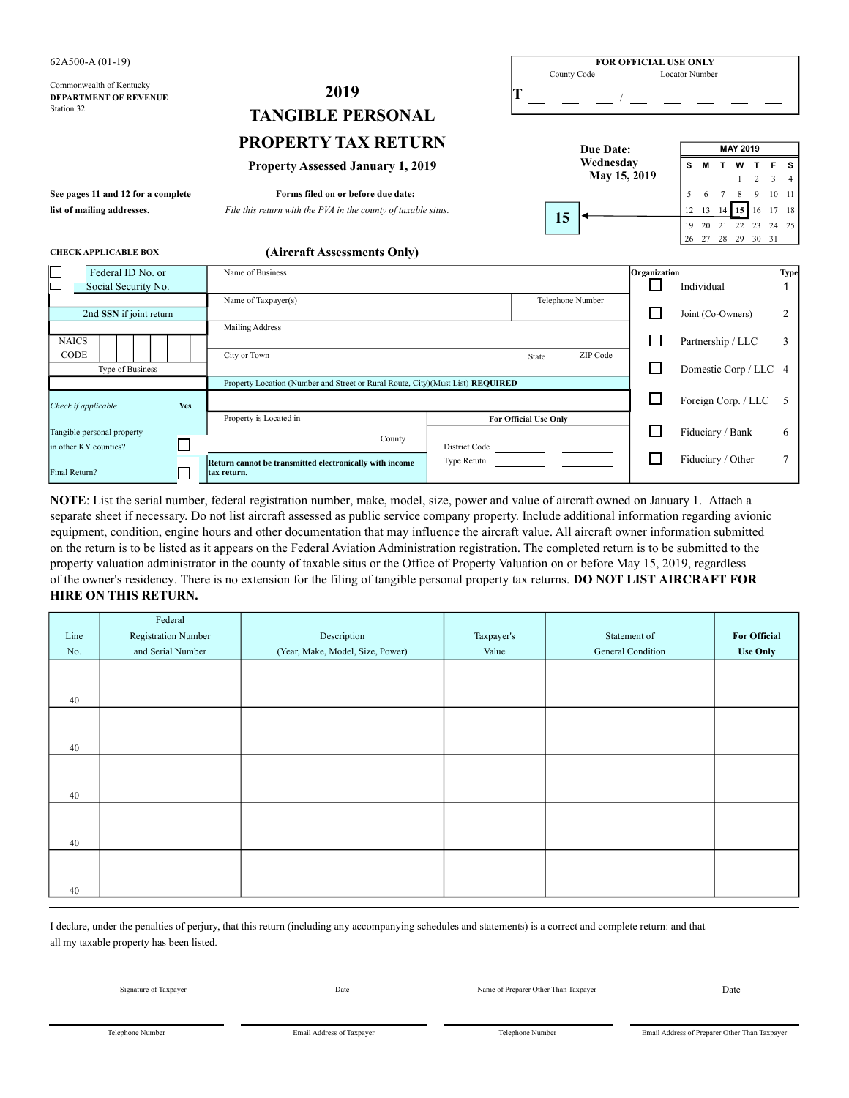| $62A500-A(01-19)$                                                      |                                                                                |                           | <b>FOR OFFICIAL USE ONLY</b> |                                               |                      |
|------------------------------------------------------------------------|--------------------------------------------------------------------------------|---------------------------|------------------------------|-----------------------------------------------|----------------------|
| Commonwealth of Kentucky<br><b>DEPARTMENT OF REVENUE</b><br>Station 32 | 2019                                                                           | County Code               |                              | Locator Number                                |                      |
|                                                                        | <b>TANGIBLE PERSONAL</b>                                                       |                           |                              |                                               |                      |
|                                                                        | <b>PROPERTY TAX RETURN</b>                                                     | Due Date:                 |                              | <b>MAY 2019</b>                               |                      |
|                                                                        | <b>Property Assessed January 1, 2019</b>                                       | Wednesday<br>May 15, 2019 |                              | s<br>w<br>3                                   | S.<br>$\overline{4}$ |
| See pages 11 and 12 for a complete                                     | Forms filed on or before due date:                                             |                           |                              | 5<br>9<br>6                                   | $10 - 11$            |
| list of mailing addresses.                                             | File this return with the PVA in the county of taxable situs.                  | 15                        |                              | $14$ 15 $16$<br>12 13<br>19 20 21 22 23 24 25 | 17 18                |
| <b>CHECK APPLICABLE BOX</b>                                            | (Aircraft Assessments Only)                                                    |                           |                              | 26 27 28 29 30 31                             |                      |
| Federal ID No. or<br>Social Security No.                               | Name of Business                                                               |                           | Organization<br>П            | Individual                                    | <b>Type</b>          |
| 2nd SSN if joint return                                                | Name of Taxpayer(s)                                                            | Telephone Number          | $\mathsf{L}$                 | Joint (Co-Owners)                             | 2                    |
| <b>NAICS</b>                                                           | Mailing Address                                                                |                           | H                            | Partnership / LLC                             | 3                    |
| <b>CODE</b><br>Type of Business                                        | City or Town                                                                   | ZIP Code<br>State         | П                            | Domestic Corp / LLC 4                         |                      |
| Yes<br>Check if applicable                                             | Property Location (Number and Street or Rural Route, City)(Must List) REQUIRED |                           | $\Box$                       | Foreign Corp. / LLC                           | 5                    |
| Tangible personal property                                             | Property is Located in                                                         | For Official Use Only     |                              | Fiduciary / Bank                              | 6                    |

separate sheet if necessary. Do not list aircraft assessed as public service company property. Include additional information regarding avionic equipment, condition, engine hours and other documentation that may influence the aircraft value. All aircraft owner information submitted on the return is to be listed as it appears on the Federal Aviation Administration registration. The completed return is to be submitted to the property valuation administrator in the county of taxable situs or the Office of Property Valuation on or before May 15, 2019, regardless **HIRE ON THIS RETURN. NOTE**: List the serial number, federal registration number, make, model, size, power and value of aircraft owned on January 1. Attach a of the owner's residency. There is no extension for the filing of tangible personal property tax returns. **DO NOT LIST AIRCRAFT FOR**

**County** 

in other KY counties? District Code

**tax return.**

П

**Return cannot be transmitted electronically with income** 

|      | Federal             |                                  |            |                   |                     |
|------|---------------------|----------------------------------|------------|-------------------|---------------------|
| Line | Registration Number | Description                      | Taxpayer's | Statement of      | <b>For Official</b> |
| No.  | and Serial Number   | (Year, Make, Model, Size, Power) | Value      | General Condition |                     |
|      |                     |                                  |            |                   |                     |
|      |                     |                                  |            |                   |                     |
| 40   |                     |                                  |            |                   |                     |
|      |                     |                                  |            |                   |                     |
|      |                     |                                  |            |                   |                     |
| 40   |                     |                                  |            |                   |                     |
|      |                     |                                  |            |                   |                     |
|      |                     |                                  |            |                   |                     |
| 40   |                     |                                  |            |                   |                     |
|      |                     |                                  |            |                   |                     |
|      |                     |                                  |            |                   |                     |
| 40   |                     |                                  |            |                   |                     |
|      |                     |                                  |            |                   |                     |
|      |                     |                                  |            |                   |                     |
| 40   |                     |                                  |            |                   |                     |

I declare, under the penalties of perjury, that this return (including any accompanying schedules and statements) is a correct and complete return: and that all my taxable property has been listed.

Signature of Taxpayer Date Date Name of Preparer Other Than Taxpayer Date Date

Type Retutn  $\boxed{\qquad}$   $\boxed{\qquad}$  Fiduciary / Other 7

Final Return?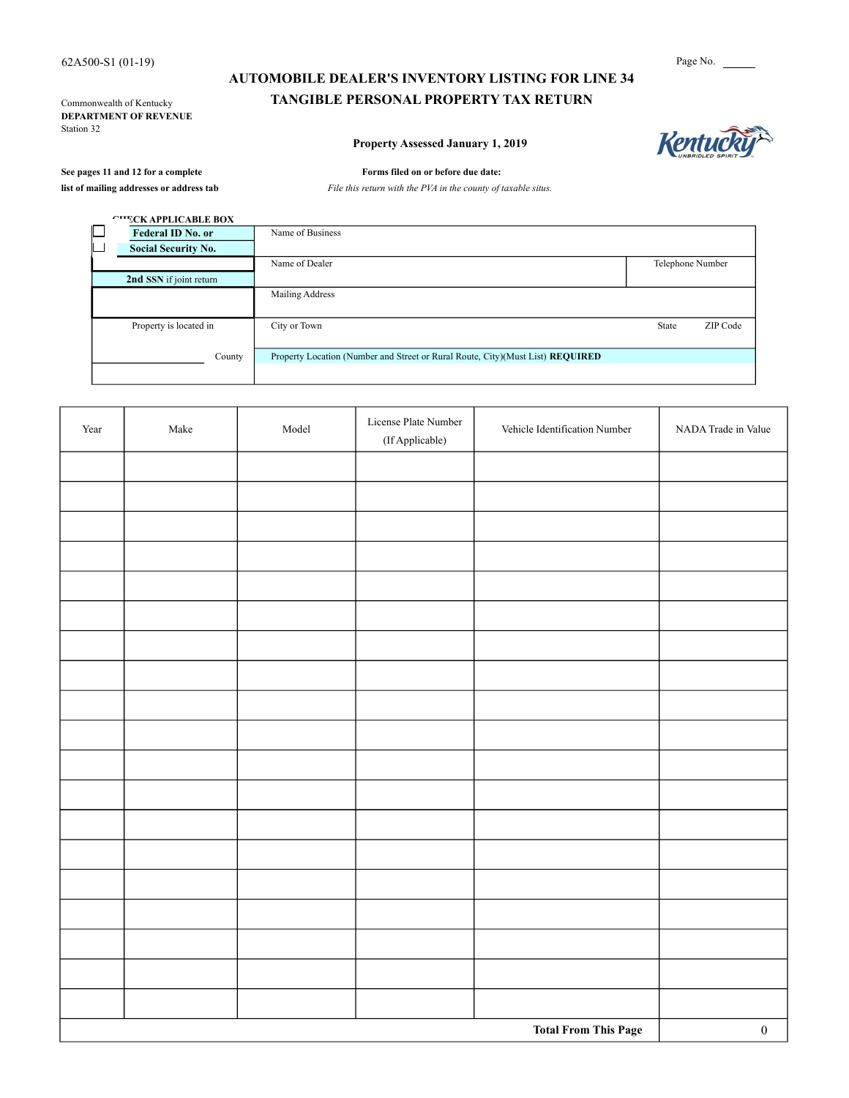**DEPARTMENT OF REVENUE** Station 32

# **AUTOMOBILE DEALER'S INVENTORY LISTING FOR LINE 34** Commonwealth of Kentucky **TANGIBLE PERSONAL PROPERTY TAX RETURN**

### **Property Assessed January 1, 2019**



#### See pages 11 and 12 for a complete Forms filed on or before due date:

**list of mailing addresses or address tab** *File this return with the PVA in the county of taxable situs.*

| <b><i>CHECK APPLICABLE BOX</i></b> |                                                                                |                  |          |
|------------------------------------|--------------------------------------------------------------------------------|------------------|----------|
| <b>Federal ID No. or</b>           | Name of Business                                                               |                  |          |
| <b>Social Security No.</b>         |                                                                                |                  |          |
|                                    | Name of Dealer                                                                 | Telephone Number |          |
| 2nd SSN if joint return            |                                                                                |                  |          |
|                                    | Mailing Address                                                                |                  |          |
| Property is located in             | City or Town                                                                   | State            | ZIP Code |
| County                             | Property Location (Number and Street or Rural Route, City)(Must List) REQUIRED |                  |          |
|                                    |                                                                                |                  |          |

| Year | $\rm Make$ | Model | License Plate Number<br>(If Applicable) | Vehicle Identification Number | NADA Trade in Value |
|------|------------|-------|-----------------------------------------|-------------------------------|---------------------|
|      |            |       |                                         |                               |                     |
|      |            |       |                                         |                               |                     |
|      |            |       |                                         |                               |                     |
|      |            |       |                                         |                               |                     |
|      |            |       |                                         |                               |                     |
|      |            |       |                                         |                               |                     |
|      |            |       |                                         |                               |                     |
|      |            |       |                                         |                               |                     |
|      |            |       |                                         |                               |                     |
|      |            |       |                                         |                               |                     |
|      |            |       |                                         |                               |                     |
|      |            |       |                                         |                               |                     |
|      |            |       |                                         |                               |                     |
|      |            |       |                                         |                               |                     |
|      |            |       |                                         |                               |                     |
|      |            |       |                                         |                               |                     |
|      |            |       |                                         |                               |                     |
|      |            |       |                                         |                               |                     |
|      |            |       |                                         |                               |                     |
|      |            |       |                                         | <b>Total From This Page</b>   | $\boldsymbol{0}$    |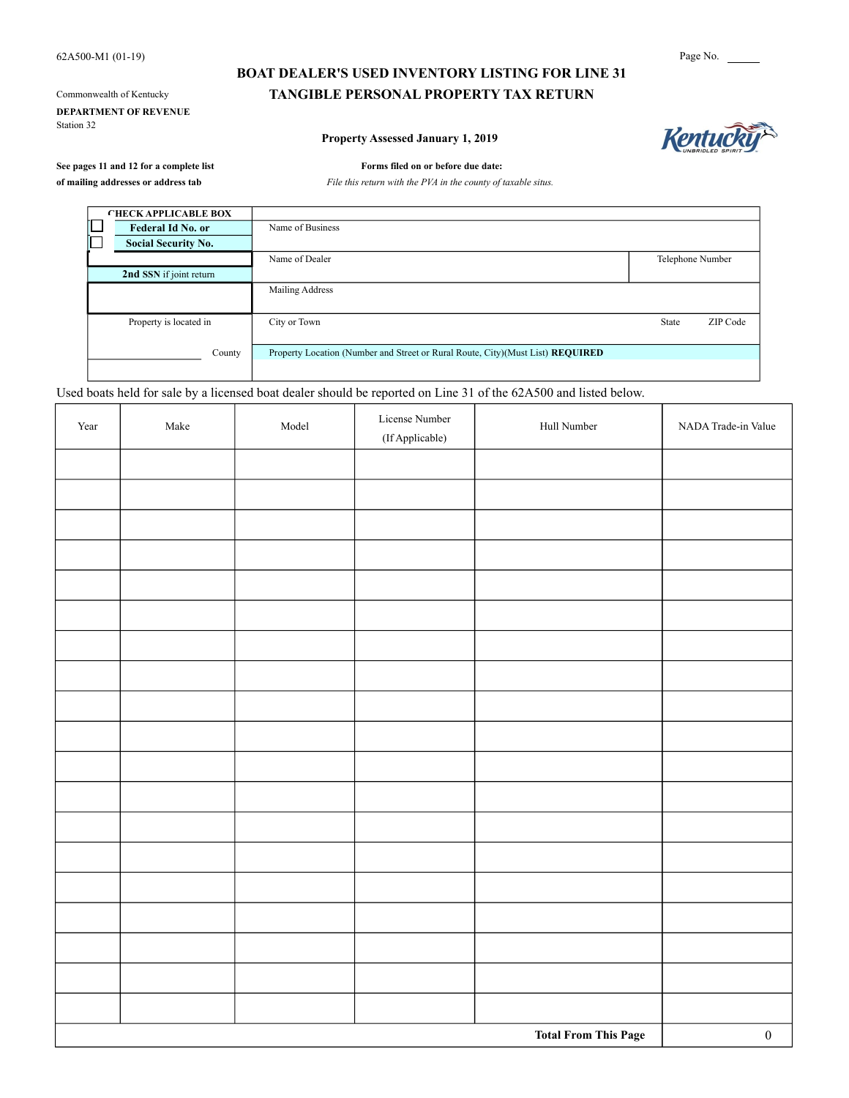**DEPARTMENT OF REVENUE** Station 32

# **BOAT DEALER'S USED INVENTORY LISTING FOR LINE 31** Commonwealth of Kentucky **TANGIBLE PERSONAL PROPERTY TAX RETURN**

#### **Property Assessed January 1, 2019**



**See pages 11 and 12 for a complete list Forms filed on or before due date:**

**of mailing addresses or address tab** *File this return with the PVA in the county of taxable situs.*

| <b>CHECK APPLICABLE BOX</b> |                                                                                |                  |          |
|-----------------------------|--------------------------------------------------------------------------------|------------------|----------|
| Federal Id No. or           | Name of Business                                                               |                  |          |
| <b>Social Security No.</b>  |                                                                                |                  |          |
|                             | Name of Dealer                                                                 | Telephone Number |          |
| 2nd SSN if joint return     |                                                                                |                  |          |
|                             | Mailing Address                                                                |                  |          |
| Property is located in      | City or Town                                                                   | State            | ZIP Code |
| County                      | Property Location (Number and Street or Rural Route, City)(Must List) REQUIRED |                  |          |
|                             |                                                                                |                  |          |

Used boats held for sale by a licensed boat dealer should be reported on Line 31 of the 62A500 and listed below.

| Year | Make | Model | License Number<br>$(\mbox{If}\, \mbox{Applied} )$ | Hull Number                 | NADA Trade-in Value |
|------|------|-------|---------------------------------------------------|-----------------------------|---------------------|
|      |      |       |                                                   |                             |                     |
|      |      |       |                                                   |                             |                     |
|      |      |       |                                                   |                             |                     |
|      |      |       |                                                   |                             |                     |
|      |      |       |                                                   |                             |                     |
|      |      |       |                                                   |                             |                     |
|      |      |       |                                                   |                             |                     |
|      |      |       |                                                   |                             |                     |
|      |      |       |                                                   |                             |                     |
|      |      |       |                                                   |                             |                     |
|      |      |       |                                                   |                             |                     |
|      |      |       |                                                   |                             |                     |
|      |      |       |                                                   |                             |                     |
|      |      |       |                                                   |                             |                     |
|      |      |       |                                                   |                             |                     |
|      |      |       |                                                   |                             |                     |
|      |      |       |                                                   |                             |                     |
|      |      |       |                                                   |                             |                     |
|      |      |       |                                                   |                             |                     |
|      |      |       |                                                   | <b>Total From This Page</b> | $\boldsymbol{0}$    |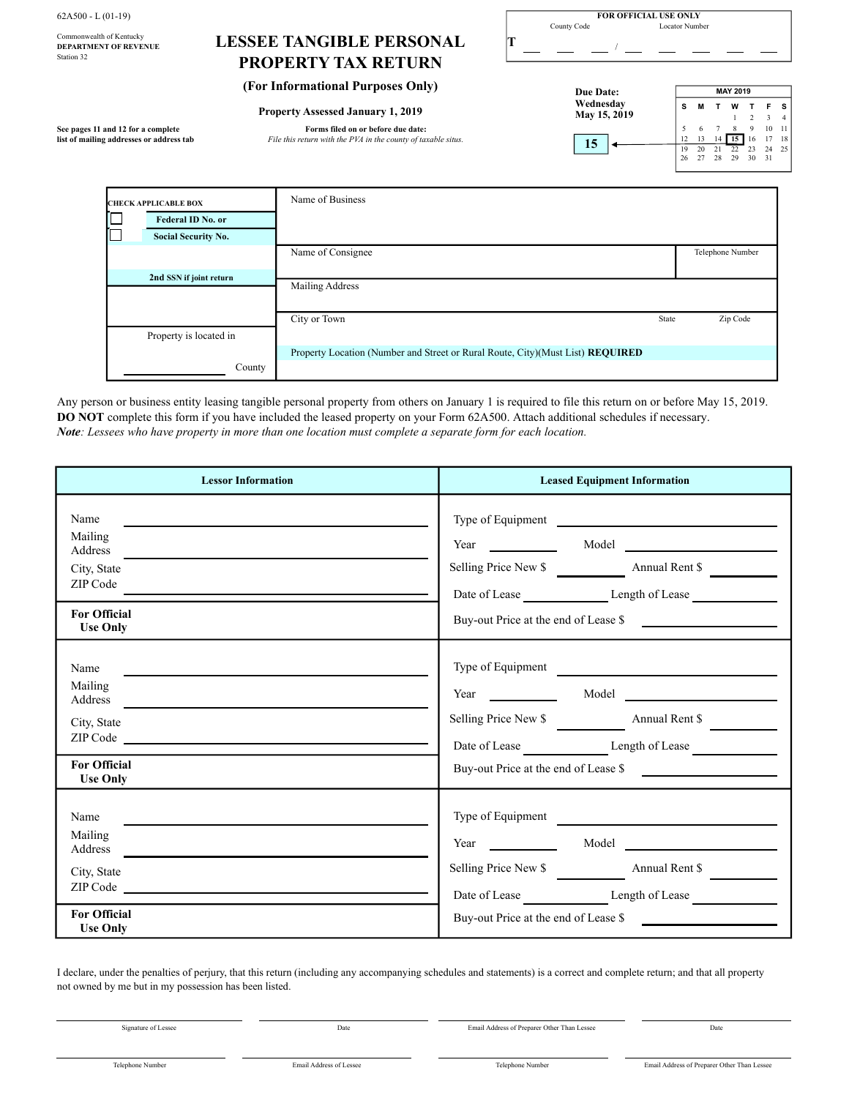| $62A500 - L(01-19)$                                                    |                                                               |  | <b>FOR OFFICIAL USE ONLY</b><br>Locator Number |  |          |          |    |                       |                     |                               |  |
|------------------------------------------------------------------------|---------------------------------------------------------------|--|------------------------------------------------|--|----------|----------|----|-----------------------|---------------------|-------------------------------|--|
| Commonwealth of Kentucky<br><b>DEPARTMENT OF REVENUE</b><br>Station 32 | <b>LESSEE TANGIBLE PERSONAL</b><br><b>PROPERTY TAX RETURN</b> |  | County Code                                    |  |          |          |    |                       |                     |                               |  |
|                                                                        | (For Informational Purposes Only)                             |  | Due Date:                                      |  |          |          |    | <b>MAY 2019</b>       |                     |                               |  |
|                                                                        | <b>Property Assessed January 1, 2019</b>                      |  | Wednesday<br>May 15, 2019                      |  | s        |          |    | w                     |                     | F <sub>S</sub><br>$3 \quad 4$ |  |
| See pages 11 and 12 for a complete                                     | Forms filed on or before due date:                            |  |                                                |  |          |          |    |                       |                     | 10 11                         |  |
| list of mailing addresses or address tab                               | File this return with the PVA in the county of taxable situs. |  | 15                                             |  | 19<br>26 | 13<br>20 | 28 | 15 <sup>1</sup><br>29 | 16<br>$30 \quad 31$ | 17 18<br>24 25                |  |

| <b>CHECK APPLICABLE BOX</b> |                            | Name of Business                                                               |       |                  |
|-----------------------------|----------------------------|--------------------------------------------------------------------------------|-------|------------------|
|                             | Federal ID No. or          |                                                                                |       |                  |
|                             | <b>Social Security No.</b> |                                                                                |       |                  |
|                             |                            | Name of Consignee                                                              |       | Telephone Number |
|                             | 2nd SSN if joint return    | Mailing Address                                                                |       |                  |
|                             |                            |                                                                                |       |                  |
|                             |                            | City or Town                                                                   | State | Zip Code         |
|                             | Property is located in     |                                                                                |       |                  |
|                             |                            | Property Location (Number and Street or Rural Route, City)(Must List) REQUIRED |       |                  |
|                             | County                     |                                                                                |       |                  |

Any person or business entity leasing tangible personal property from others on January 1 is required to file this return on or before May 15, 2019. **DO NOT** complete this form if you have included the leased property on your Form 62A500. Attach additional schedules if necessary. *Note: Lessees who have property in more than one location must complete a separate form for each location.*

| <b>Lessor Information</b>                                                                                                                                                                                                                                                                                                                                                                                                                                                                                                                          | <b>Leased Equipment Information</b>                                                                                                                         |  |  |
|----------------------------------------------------------------------------------------------------------------------------------------------------------------------------------------------------------------------------------------------------------------------------------------------------------------------------------------------------------------------------------------------------------------------------------------------------------------------------------------------------------------------------------------------------|-------------------------------------------------------------------------------------------------------------------------------------------------------------|--|--|
| Name<br><u>a sa barang ang pagbabang nagang pangangang nagang pangangang nagang pangangang nagang pang</u><br>Mailing<br>Address<br>City, State<br>ZIP Code<br><b>For Official</b><br><b>Use Only</b>                                                                                                                                                                                                                                                                                                                                              | Type of Equipment<br>Year Model Model<br>Selling Price New \$<br>Buy-out Price at the end of Lease \$                                                       |  |  |
| Name<br>Mailing<br>Address and the contract of the contract of the contract of the contract of the contract of the contract of the contract of the contract of the contract of the contract of the contract of the contract of the contract of th<br>City, State<br><b>For Official</b><br><b>Use Only</b>                                                                                                                                                                                                                                         | Type of Equipment<br>Year Model Model<br>Selling Price New \$<br>Date of Lease Length of Lease<br>Buy-out Price at the end of Lease \$                      |  |  |
| Name<br>Mailing<br>Address <u>and the set of the set of the set of the set of the set of the set of the set of the set of the set of the set of the set of the set of the set of the set of the set of the set of the set of the set of the set of </u><br>City, State<br>ZIP Code and the contract of the contract of the contract of the contract of the contract of the contract of the contract of the contract of the contract of the contract of the contract of the contract of the contract of t<br><b>For Official</b><br><b>Use Only</b> | Type of Equipment<br>Year Model Model<br>Selling Price New \$<br>Date of Lease _____________________Length of Lease<br>Buy-out Price at the end of Lease \$ |  |  |

I declare, under the penalties of perjury, that this return (including any accompanying schedules and statements) is a correct and complete return; and that all property not owned by me but in my possession has been listed.

Signature of Lessee Date Email Address of Preparer Other Than Lessee Date